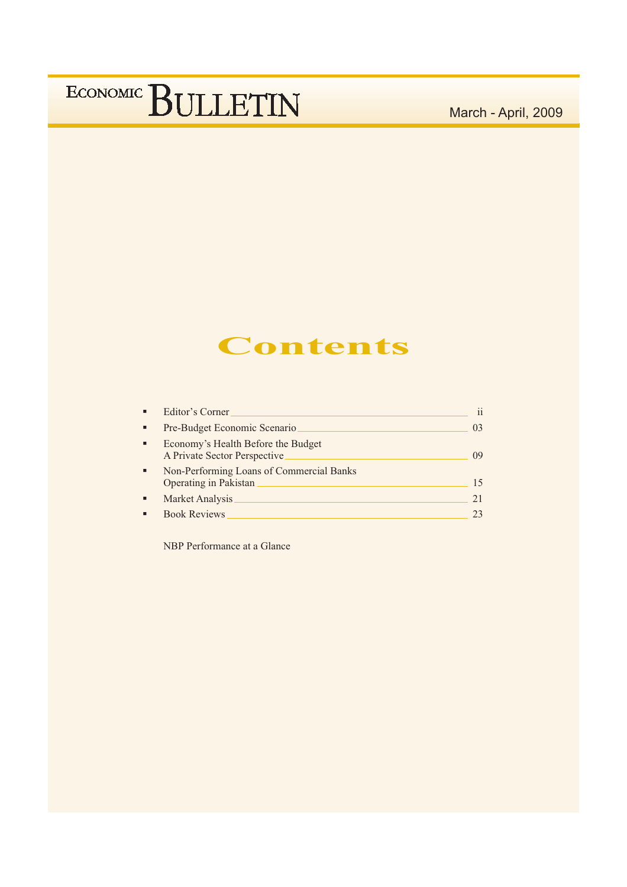March - April, 2009

### **Contents**

| п | Editor's Corner                                                          | $\mathbf{ii}$  |
|---|--------------------------------------------------------------------------|----------------|
| ٠ | Pre-Budget Economic Scenario                                             | 0 <sup>3</sup> |
| п | Economy's Health Before the Budget<br>A Private Sector Perspective       | 09             |
| ٠ | Non-Performing Loans of Commercial Banks<br><b>Operating in Pakistan</b> | 15             |
|   | Market Analysis                                                          | 21             |
|   | <b>Book Reviews</b>                                                      | 23             |

NBP Performance at a Glance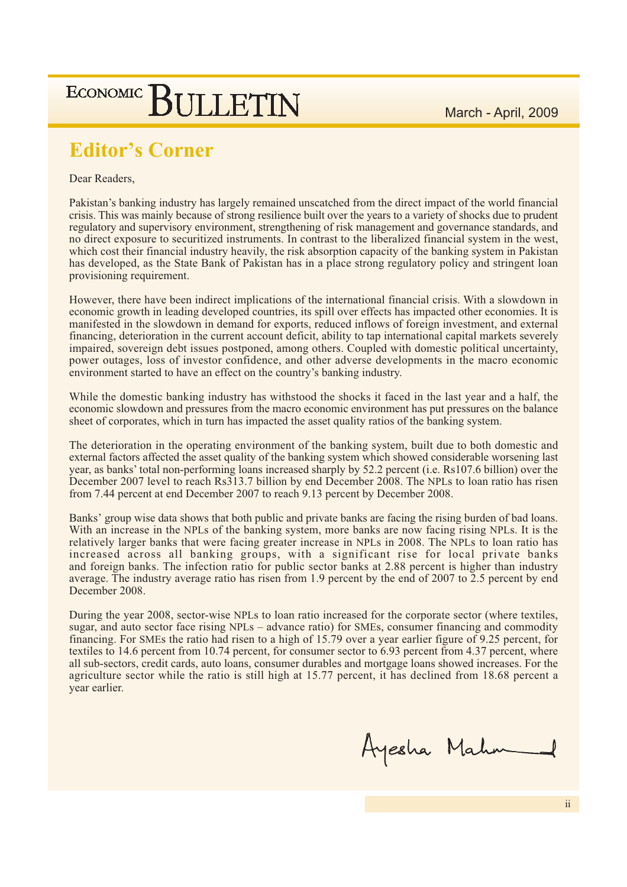March - April, 2009

### **ECONOMIC SULLETIN**

### **Editor's Corner**

Dear Readers,

Pakistan's banking industry has largely remained unscatched from the direct impact of the world financial crisis. This was mainly because of strong resilience built over the years to a variety of shocks due to prudent regulatory and supervisory environment, strengthening of risk management and governance standards, and no direct exposure to securitized instruments. In contrast to the liberalized financial system in the west, which cost their financial industry heavily, the risk absorption capacity of the banking system in Pakistan has developed, as the State Bank of Pakistan has in a place strong regulatory policy and stringent loan provisioning requirement.

However, there have been indirect implications of the international financial crisis. With a slowdown in economic growth in leading developed countries, its spill over effects has impacted other economies. It is manifested in the slowdown in demand for exports, reduced inflows of foreign investment, and external financing, deterioration in the current account deficit, ability to tap international capital markets severely impaired, sovereign debt issues postponed, among others. Coupled with domestic political uncertainty, power outages, loss of investor confidence, and other adverse developments in the macro economic environment started to have an effect on the country's banking industry.

While the domestic banking industry has withstood the shocks it faced in the last year and a half, the economic slowdown and pressures from the macro economic environment has put pressures on the balance sheet of corporates, which in turn has impacted the asset quality ratios of the banking system.

The deterioration in the operating environment of the banking system, built due to both domestic and external factors affected the asset quality of the banking system which showed considerable worsening last year, as banks' total non-performing loans increased sharply by 52.2 percent (i.e. Rs107.6 billion) over the December 2007 level to reach Rs313.7 billion by end December 2008. The NPLs to loan ratio has risen from 7.44 percent at end December 2007 to reach 9.13 percent by December 2008.

Banks' group wise data shows that both public and private banks are facing the rising burden of bad loans. With an increase in the NPLs of the banking system, more banks are now facing rising NPLs. It is the relatively larger banks that were facing greater increase in NPLs in 2008. The NPLs to loan ratio has increased across all banking groups, with a significant rise for local private banks and foreign banks. The infection ratio for public sector banks at 2.88 percent is higher than industry average. The industry average ratio has risen from 1.9 percent by the end of 2007 to 2.5 percent by end December 2008.

During the year 2008, sector-wise NPLs to loan ratio increased for the corporate sector (where textiles, sugar, and auto sector face rising NPLs - advance ratio) for SMEs, consumer financing and commodity financing. For SMEs the ratio had risen to a high of 15.79 over a year earlier figure of 9.25 percent, for textiles to 14.6 percent from 10.74 percent, for consumer sector to 6.93 percent from 4.37 percent, where all sub-sectors, credit cards, auto loans, consumer durables and mortgage loans showed increases. For the agriculture sector while the ratio is still high at 15.77 percent, it has declined from 18.68 percent a year earlier.

Ayesha Mahn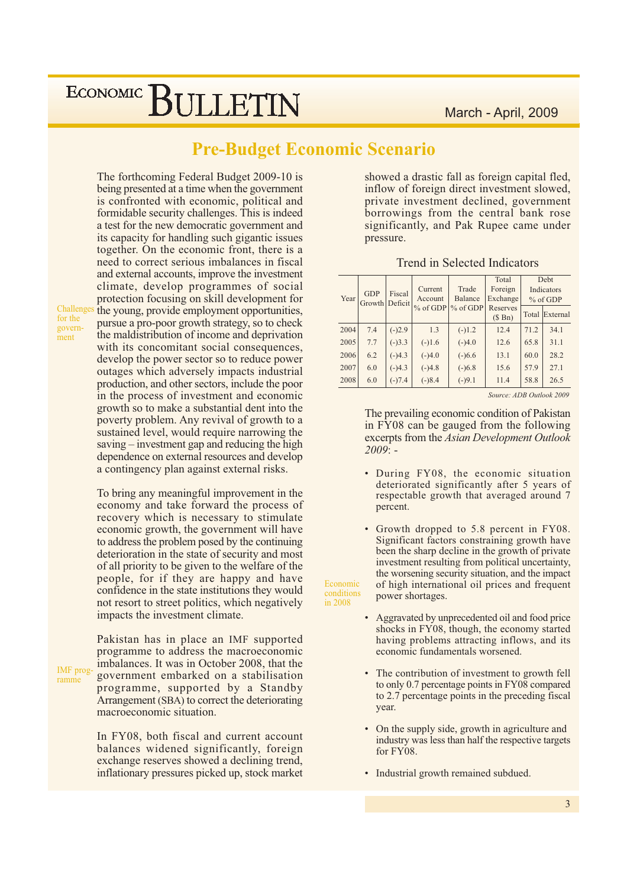### **Pre-Budget Economic Scenario**

Economic

conditions

in 2008

The forthcoming Federal Budget 2009-10 is being presented at a time when the government is confronted with economic, political and formidable security challenges. This is indeed a test for the new democratic government and its capacity for handling such gigantic issues together. On the economic front, there is a need to correct serious imbalances in fiscal and external accounts, improve the investment climate, develop programmes of social protection focusing on skill development for the young, provide employment opportunities, pursue a pro-poor growth strategy, so to check the maldistribution of income and deprivation with its concomitant social consequences, develop the power sector so to reduce power outages which adversely impacts industrial production, and other sectors, include the poor in the process of investment and economic growth so to make a substantial dent into the poverty problem. Any revival of growth to a sustained level, would require narrowing the saving  $-$  investment gap and reducing the high dependence on external resources and develop a contingency plan against external risks.

To bring any meaningful improvement in the economy and take forward the process of recovery which is necessary to stimulate economic growth, the government will have to address the problem posed by the continuing deterioration in the state of security and most of all priority to be given to the welfare of the people, for if they are happy and have confidence in the state institutions they would not resort to street politics, which negatively impacts the investment climate.

Pakistan has in place an IMF supported programme to address the macroeconomic imbalances. It was in October 2008, that the IMF proggovernment embarked on a stabilisation programme, supported by a Standby Arrangement (SBA) to correct the deteriorating macroeconomic situation.

> In FY08, both fiscal and current account balances widened significantly, foreign exchange reserves showed a declining trend, inflationary pressures picked up, stock market

showed a drastic fall as foreign capital fled, inflow of foreign direct investment slowed, private investment declined, government borrowings from the central bank rose significantly, and Pak Rupee came under pressure.

#### **Trend in Selected Indicators**

| Year | <b>GDP</b><br>Growth Deficit | Fiscal   | Current<br>Account | Trade<br><b>Balance</b> | Total<br>Foreign<br>Exchange |      | Debt<br>Indicators<br>$%$ of GDP |
|------|------------------------------|----------|--------------------|-------------------------|------------------------------|------|----------------------------------|
|      |                              |          | $%$ of GDP         | $%$ of GDP              | Reserves<br>$(S \nBn)$       |      | <b>Total External</b>            |
| 2004 | 7.4                          | $(-)2.9$ | 1.3                | $(-)1.2$                | 12.4                         | 71.2 | 34.1                             |
| 2005 | 7.7                          | $(-)3.3$ | $(-)1.6$           | $(-)4.0$                | 12.6                         | 65.8 | 31.1                             |
| 2006 | 6.2                          | $(-)4.3$ | $(-)4.0$           | $(-)6.6$                | 13.1                         | 60.0 | 28.2                             |
| 2007 | 6.0                          | $(-)4.3$ | $(-)4.8$           | $(-)6.8$                | 15.6                         | 57.9 | 27.1                             |
| 2008 | 6.0                          | $(-)7.4$ | $(-)8.4$           | $(-)9.1$                | 11.4                         | 58.8 | 26.5                             |

Source: ADB Outlook 2009

The prevailing economic condition of Pakistan in FY08 can be gauged from the following excerpts from the Asian Development Outlook  $2009: -$ 

- During FY08, the economic situation deteriorated significantly after 5 years of respectable growth that averaged around 7 percent.
- Growth dropped to 5.8 percent in FY08. Significant factors constraining growth have been the sharp decline in the growth of private investment resulting from political uncertainty, the worsening security situation, and the impact of high international oil prices and frequent power shortages.
- Aggravated by unprecedented oil and food price shocks in FY08, though, the economy started having problems attracting inflows, and its economic fundamentals worsened.
- The contribution of investment to growth fell to only 0.7 percentage points in FY08 compared to 2.7 percentage points in the preceding fiscal year.
- On the supply side, growth in agriculture and industry was less than half the respective targets for  $FY08$ .
- Industrial growth remained subdued.

Challenge for the government

ramme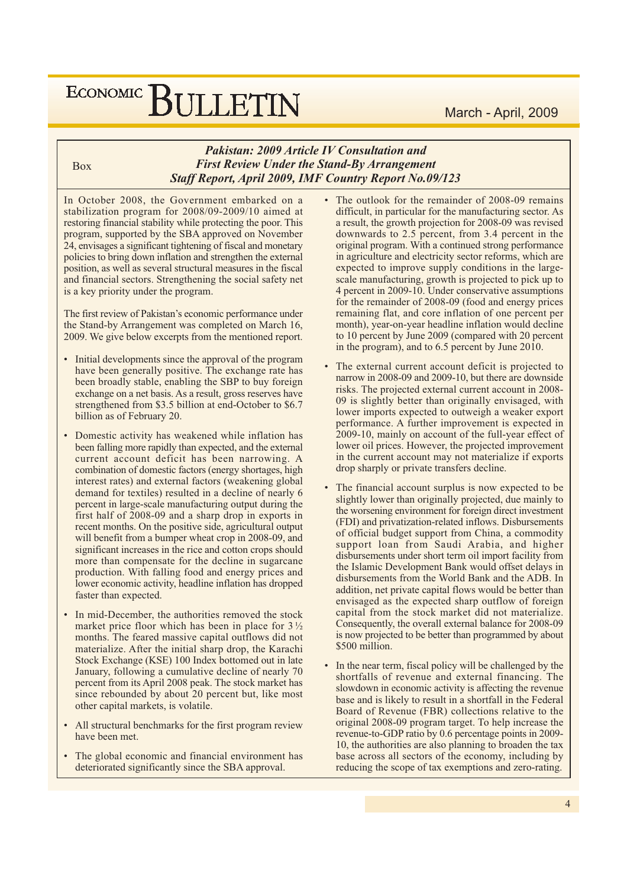#### March - April, 2009

# ECONOMIC BULLETIN

**Box** 

#### **Pakistan: 2009 Article IV Consultation and First Review Under the Stand-By Arrangement Staff Report, April 2009, IMF Country Report No.09/123**

In October 2008, the Government embarked on a stabilization program for 2008/09-2009/10 aimed at restoring financial stability while protecting the poor. This program, supported by the SBA approved on November 24, envisages a significant tightening of fiscal and monetary policies to bring down inflation and strengthen the external position, as well as several structural measures in the fiscal and financial sectors. Strengthening the social safety net is a key priority under the program.

The first review of Pakistan's economic performance under the Stand-by Arrangement was completed on March 16, 2009. We give below excerpts from the mentioned report.

- Initial developments since the approval of the program have been generally positive. The exchange rate has been broadly stable, enabling the SBP to buy foreign exchange on a net basis. As a result, gross reserves have strengthened from \$3.5 billion at end-October to \$6.7 billion as of February 20.
- Domestic activity has weakened while inflation has been falling more rapidly than expected, and the external current account deficit has been narrowing. A combination of domestic factors (energy shortages, high interest rates) and external factors (weakening global demand for textiles) resulted in a decline of nearly 6 percent in large-scale manufacturing output during the first half of 2008-09 and a sharp drop in exports in recent months. On the positive side, agricultural output will benefit from a bumper wheat crop in 2008-09, and significant increases in the rice and cotton crops should more than compensate for the decline in sugarcane production. With falling food and energy prices and lower economic activity, headline inflation has dropped faster than expected.
- In mid-December, the authorities removed the stock market price floor which has been in place for  $3\frac{1}{2}$ months. The feared massive capital outflows did not materialize. After the initial sharp drop, the Karachi Stock Exchange (KSE) 100 Index bottomed out in late January, following a cumulative decline of nearly 70 percent from its April 2008 peak. The stock market has since rebounded by about 20 percent but, like most other capital markets, is volatile.
- All structural benchmarks for the first program review have been met.
- The global economic and financial environment has deteriorated significantly since the SBA approval.
- The outlook for the remainder of 2008-09 remains difficult, in particular for the manufacturing sector. As a result, the growth projection for 2008-09 was revised downwards to 2.5 percent, from 3.4 percent in the original program. With a continued strong performance in agriculture and electricity sector reforms, which are expected to improve supply conditions in the largescale manufacturing, growth is projected to pick up to 4 percent in 2009-10. Under conservative assumptions for the remainder of 2008-09 (food and energy prices remaining flat, and core inflation of one percent per month), year-on-year headline inflation would decline to 10 percent by June 2009 (compared with 20 percent in the program), and to  $6.5$  percent by June  $2010$ .
- The external current account deficit is projected to narrow in 2008-09 and 2009-10, but there are downside risks. The projected external current account in 2008-09 is slightly better than originally envisaged, with lower imports expected to outweigh a weaker export performance. A further improvement is expected in 2009-10, mainly on account of the full-year effect of lower oil prices. However, the projected improvement in the current account may not materialize if exports drop sharply or private transfers decline.
- The financial account surplus is now expected to be slightly lower than originally projected, due mainly to the worsening environment for foreign direct investment (FDI) and privatization-related inflows. Disbursements of official budget support from China, a commodity support loan from Saudi Arabia, and higher disbursements under short term oil import facility from the Islamic Development Bank would offset delays in disbursements from the World Bank and the ADB. In addition, net private capital flows would be better than envisaged as the expected sharp outflow of foreign capital from the stock market did not materialize. Consequently, the overall external balance for 2008-09 is now projected to be better than programmed by about \$500 million.
- In the near term, fiscal policy will be challenged by the shortfalls of revenue and external financing. The slowdown in economic activity is affecting the revenue base and is likely to result in a shortfall in the Federal Board of Revenue (FBR) collections relative to the original 2008-09 program target. To help increase the revenue-to-GDP ratio by 0.6 percentage points in 2009-10, the authorities are also planning to broaden the tax base across all sectors of the economy, including by reducing the scope of tax exemptions and zero-rating.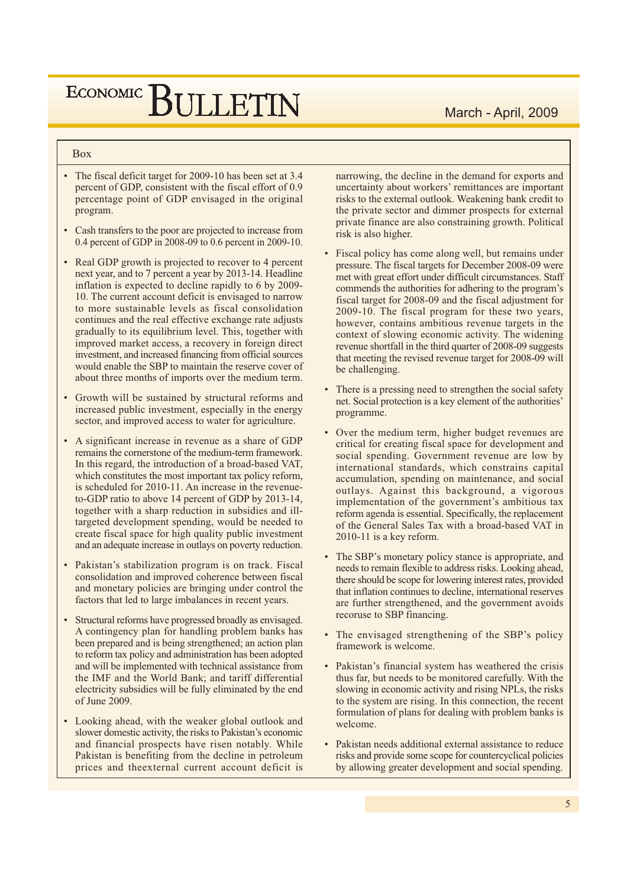#### **Box**

- The fiscal deficit target for 2009-10 has been set at 3.4 percent of GDP, consistent with the fiscal effort of 0.9 percentage point of GDP envisaged in the original program.
- Cash transfers to the poor are projected to increase from 0.4 percent of GDP in 2008-09 to 0.6 percent in 2009-10.
- Real GDP growth is projected to recover to 4 percent next year, and to 7 percent a year by 2013-14. Headline inflation is expected to decline rapidly to 6 by 2009-10. The current account deficit is envisaged to narrow to more sustainable levels as fiscal consolidation continues and the real effective exchange rate adjusts gradually to its equilibrium level. This, together with improved market access, a recovery in foreign direct investment, and increased financing from official sources would enable the SBP to maintain the reserve cover of about three months of imports over the medium term.
- Growth will be sustained by structural reforms and increased public investment, especially in the energy sector, and improved access to water for agriculture.
- A significant increase in revenue as a share of GDP remains the cornerstone of the medium-term framework. In this regard, the introduction of a broad-based VAT, which constitutes the most important tax policy reform, is scheduled for 2010-11. An increase in the revenueto-GDP ratio to above 14 percent of GDP by 2013-14, together with a sharp reduction in subsidies and illtargeted development spending, would be needed to create fiscal space for high quality public investment and an adequate increase in outlays on poverty reduction.
- Pakistan's stabilization program is on track. Fiscal consolidation and improved coherence between fiscal and monetary policies are bringing under control the factors that led to large imbalances in recent years.
- Structural reforms have progressed broadly as envisaged. A contingency plan for handling problem banks has been prepared and is being strengthened; an action plan to reform tax policy and administration has been adopted and will be implemented with technical assistance from the IMF and the World Bank; and tariff differential electricity subsidies will be fully eliminated by the end of June 2009.
- Looking ahead, with the weaker global outlook and slower domestic activity, the risks to Pakistan's economic and financial prospects have risen notably. While Pakistan is benefiting from the decline in petroleum prices and the external current account deficit is

narrowing, the decline in the demand for exports and uncertainty about workers' remittances are important risks to the external outlook. Weakening bank credit to the private sector and dimmer prospects for external private finance are also constraining growth. Political risk is also higher.

- Fiscal policy has come along well, but remains under pressure. The fiscal targets for December 2008-09 were met with great effort under difficult circumstances. Staff commends the authorities for adhering to the program's fiscal target for 2008-09 and the fiscal adjustment for 2009-10. The fiscal program for these two years, however, contains ambitious revenue targets in the context of slowing economic activity. The widening revenue shortfall in the third quarter of 2008-09 suggests that meeting the revised revenue target for 2008-09 will be challenging.
- There is a pressing need to strengthen the social safety net. Social protection is a key element of the authorities' programme.
- Over the medium term, higher budget revenues are critical for creating fiscal space for development and social spending. Government revenue are low by international standards, which constrains capital accumulation, spending on maintenance, and social outlays. Against this background, a vigorous implementation of the government's ambitious tax reform agenda is essential. Specifically, the replacement of the General Sales Tax with a broad-based VAT in  $2010-11$  is a key reform.
- The SBP's monetary policy stance is appropriate, and needs to remain flexible to address risks. Looking ahead, there should be scope for lowering interest rates, provided that inflation continues to decline, international reserves are further strengthened, and the government avoids recoruse to SBP financing.
- The envisaged strengthening of the SBP's policy framework is welcome.
- Pakistan's financial system has weathered the crisis thus far, but needs to be monitored carefully. With the slowing in economic activity and rising NPLs, the risks to the system are rising. In this connection, the recent formulation of plans for dealing with problem banks is welcome.
- Pakistan needs additional external assistance to reduce risks and provide some scope for countercyclical policies by allowing greater development and social spending.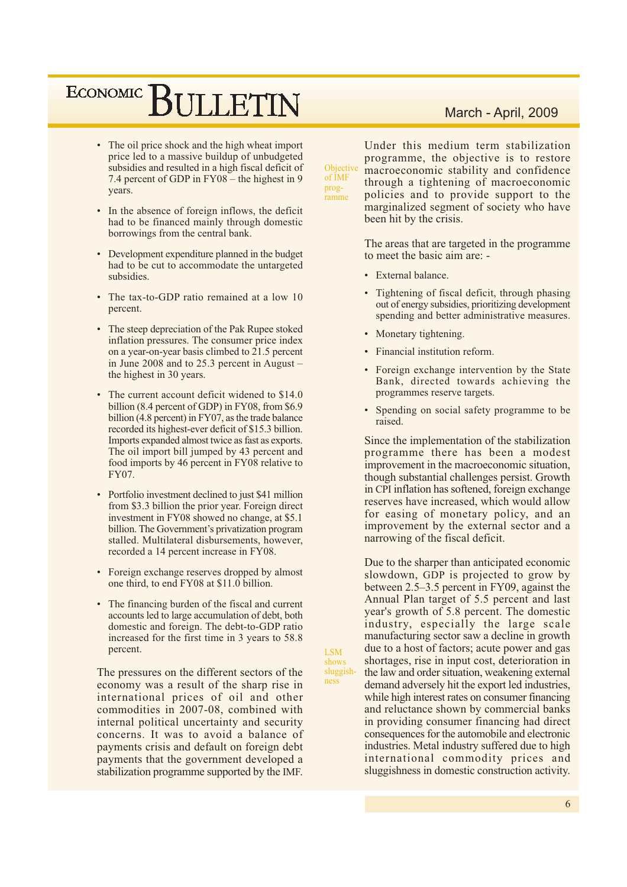## ECONOMIC BIJLETIN

- The oil price shock and the high wheat import price led to a massive buildup of unbudgeted subsidies and resulted in a high fiscal deficit of 7.4 percent of GDP in FY08 – the highest in 9 vears.
- In the absence of foreign inflows, the deficit had to be financed mainly through domestic borrowings from the central bank.
- Development expenditure planned in the budget had to be cut to accommodate the untargeted subsidies.
- The tax-to-GDP ratio remained at a low 10 percent.
- The steep depreciation of the Pak Rupee stoked inflation pressures. The consumer price index on a year-on-year basis climbed to 21.5 percent in June 2008 and to  $25.3$  percent in August the highest in 30 years.
- The current account deficit widened to \$14.0 billion (8.4 percent of GDP) in FY08, from \$6.9 billion (4.8 percent) in FY07, as the trade balance recorded its highest-ever deficit of \$15.3 billion. Imports expanded almost twice as fast as exports. The oil import bill jumped by 43 percent and food imports by 46 percent in FY08 relative to FY07.
- Portfolio investment declined to just \$41 million from \$3.3 billion the prior year. Foreign direct investment in FY08 showed no change, at \$5.1 billion. The Government's privatization program stalled. Multilateral disbursements, however, recorded a 14 percent increase in FY08.
- Foreign exchange reserves dropped by almost one third, to end FY08 at \$11.0 billion.
- The financing burden of the fiscal and current accounts led to large accumulation of debt, both domestic and foreign. The debt-to-GDP ratio increased for the first time in 3 years to 58.8 percent.

The pressures on the different sectors of the economy was a result of the sharp rise in international prices of oil and other commodities in 2007-08, combined with internal political uncertainty and security concerns. It was to avoid a balance of payments crisis and default on foreign debt payments that the government developed a stabilization programme supported by the IMF.

March - April, 2009

Under this medium term stabilization programme, the objective is to restore Objective macroeconomic stability and confidence through a tightening of macroeconomic policies and to provide support to the marginalized segment of society who have been hit by the crisis.

> The areas that are targeted in the programme to meet the basic aim are: -

External balance.

of IMF

ramme

prog-

**LSM** 

shows sluggish-

ness

- Tightening of fiscal deficit, through phasing out of energy subsidies, prioritizing development spending and better administrative measures.
- Monetary tightening.
- Financial institution reform.
- Foreign exchange intervention by the State Bank, directed towards achieving the programmes reserve targets.
- Spending on social safety programme to be raised.

Since the implementation of the stabilization programme there has been a modest improvement in the macroeconomic situation, though substantial challenges persist. Growth in CPI inflation has softened, foreign exchange reserves have increased, which would allow for easing of monetary policy, and an improvement by the external sector and a narrowing of the fiscal deficit.

Due to the sharper than anticipated economic slowdown, GDP is projected to grow by between 2.5–3.5 percent in FY09, against the Annual Plan target of 5.5 percent and last year's growth of 5.8 percent. The domestic industry, especially the large scale manufacturing sector saw a decline in growth due to a host of factors; acute power and gas shortages, rise in input cost, deterioration in the law and order situation, weakening external demand adversely hit the export led industries, while high interest rates on consumer financing and reluctance shown by commercial banks in providing consumer financing had direct consequences for the automobile and electronic industries. Metal industry suffered due to high international commodity prices and sluggishness in domestic construction activity.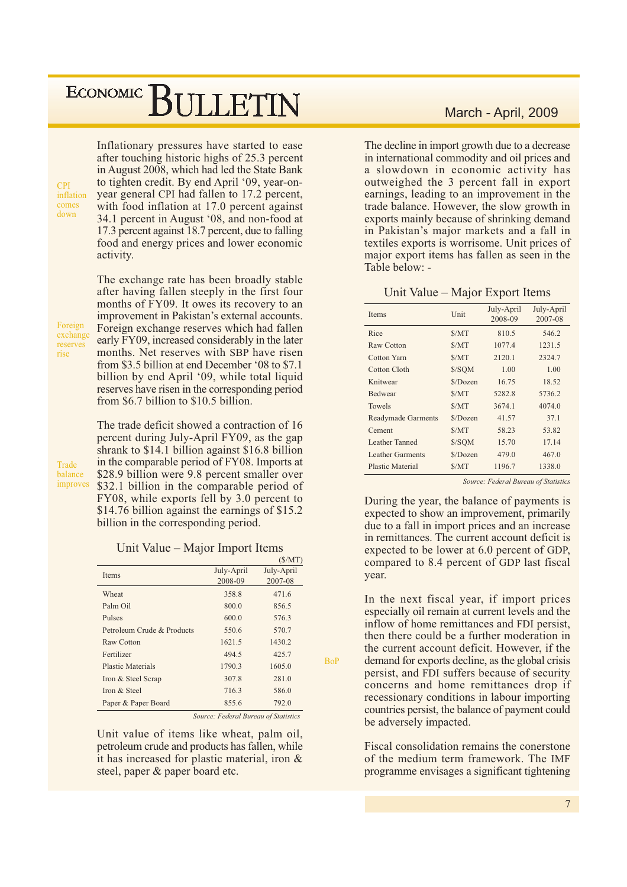Inflationary pressures have started to ease after touching historic highs of 25.3 percent in August 2008, which had led the State Bank to tighten credit. By end April '09, year-onyear general CPI had fallen to 17.2 percent, with food inflation at 17.0 percent against 34.1 percent in August '08, and non-food at 17.3 percent against 18.7 percent, due to falling food and energy prices and lower economic activity.

The exchange rate has been broadly stable after having fallen steeply in the first four

months of FY09. It owes its recovery to an improvement in Pakistan's external accounts.

Foreign exchange reserves rise

 $CPI$ inflation

comes

down

Foreign exchange reserves which had fallen early FY09, increased considerably in the later months. Net reserves with SBP have risen from \$3.5 billion at end December '08 to \$7.1 billion by end April '09, while total liquid reserves have risen in the corresponding period from \$6.7 billion to \$10.5 billion. The trade deficit showed a contraction of 16

**Trade** halance improves percent during July-April FY09, as the gap shrank to \$14.1 billion against \$16.8 billion in the comparable period of FY08. Imports at \$28.9 billion were 9.8 percent smaller over \$32.1 billion in the comparable period of FY08, while exports fell by 3.0 percent to \$14.76 billion against the earnings of \$15.2 billion in the corresponding period.

#### Unit Value – Major Import Items

|                            |            | (S/MT)     |
|----------------------------|------------|------------|
| <b>Items</b>               | July-April | July-April |
|                            | 2008-09    | 2007-08    |
| Wheat                      | 358.8      | 471.6      |
| Palm Oil                   | 800.0      | 856.5      |
| Pulses                     | 600.0      | 576.3      |
| Petroleum Crude & Products | 550.6      | 570.7      |
| Raw Cotton                 | 1621.5     | 1430.2     |
| Fertilizer                 | 494.5      | 425.7      |
| Plastic Materials          | 1790.3     | 1605.0     |
| Iron & Steel Scrap         | 307.8      | 281.0      |
| Iron & Steel               | 716.3      | 586.0      |
| Paper & Paper Board        | 855.6      | 792.0      |

Source: Federal Bureau of Statistics

 $RoP$ 

Unit value of items like wheat, palm oil, petroleum crude and products has fallen, while it has increased for plastic material, iron & steel, paper & paper board etc.

#### March - April, 2009

The decline in import growth due to a decrease in international commodity and oil prices and a slowdown in economic activity has outweighed the 3 percent fall in export earnings, leading to an improvement in the trade balance. However, the slow growth in exports mainly because of shrinking demand in Pakistan's major markets and a fall in textiles exports is worrisome. Unit prices of major export items has fallen as seen in the Table below: -

#### Unit Value – Major Export Items

| <b>Items</b>              | Unit     | July-April<br>2008-09 | July-April<br>2007-08 |
|---------------------------|----------|-----------------------|-----------------------|
| Rice                      | S/MT     | 810.5                 | 546.2                 |
| Raw Cotton                | S/MT     | 1077.4                | 1231.5                |
| Cotton Yarn               | S/MT     | 2120.1                | 2324.7                |
| Cotton Cloth              | \$/SQM   | 1.00                  | 1.00                  |
| Knitwear                  | \$/Dozen | 16.75                 | 18.52                 |
| <b>Bedwear</b>            | S/MT     | 5282.8                | 5736.2                |
| <b>Towels</b>             | S/MT     | 3674.1                | 4074.0                |
| <b>Readymade Garments</b> | \$/Dozen | 41.57                 | 37.1                  |
| Cement                    | S/MT     | 58.23                 | 53.82                 |
| Leather Tanned            | \$/SQM   | 15.70                 | 17.14                 |
| <b>Leather Garments</b>   | \$/Dozen | 479.0                 | 467.0                 |
| Plastic Material          | S/MT     | 1196.7                | 1338.0                |

Source: Federal Bureau of Statistics

During the year, the balance of payments is expected to show an improvement, primarily due to a fall in import prices and an increase in remittances. The current account deficit is expected to be lower at 6.0 percent of GDP, compared to 8.4 percent of GDP last fiscal vear.

In the next fiscal year, if import prices especially oil remain at current levels and the inflow of home remittances and FDI persist. then there could be a further moderation in the current account deficit. However, if the demand for exports decline, as the global crisis persist, and FDI suffers because of security concerns and home remittances drop if recessionary conditions in labour importing countries persist, the balance of payment could be adversely impacted.

Fiscal consolidation remains the conerstone of the medium term framework. The IMF programme envisages a significant tightening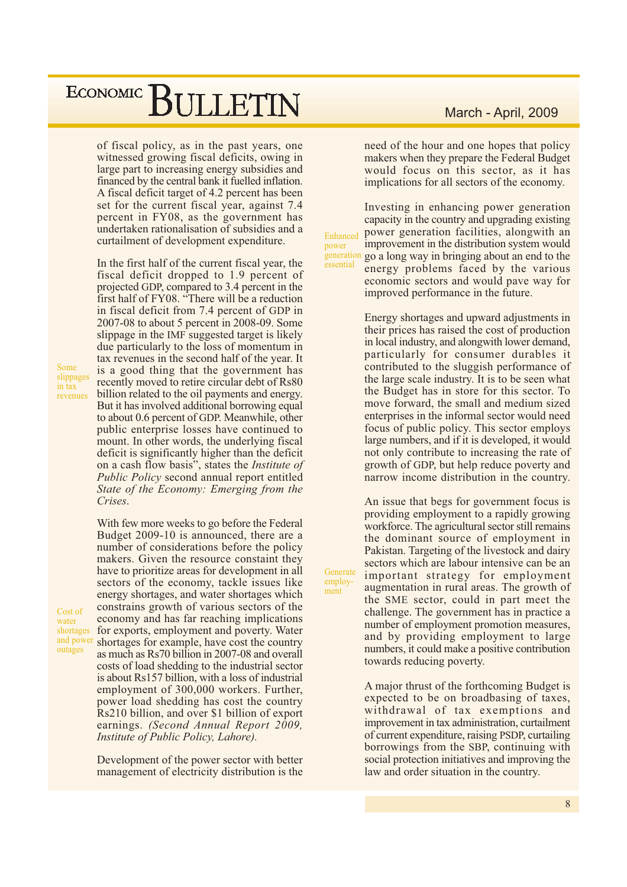of fiscal policy, as in the past years, one witnessed growing fiscal deficits, owing in large part to increasing energy subsidies and financed by the central bank it fuelled inflation. A fiscal deficit target of 4.2 percent has been set for the current fiscal year, against 7.4 percent in FY08, as the government has undertaken rationalisation of subsidies and a curtailment of development expenditure.

In the first half of the current fiscal year, the fiscal deficit dropped to 1.9 percent of projected GDP, compared to 3.4 percent in the first half of FY08. "There will be a reduction in fiscal deficit from 7.4 percent of GDP in 2007-08 to about 5 percent in 2008-09. Some slippage in the IMF suggested target is likely due particularly to the loss of momentum in tax revenues in the second half of the year. It is a good thing that the government has recently moved to retire circular debt of Rs80 billion related to the oil payments and energy. But it has involved additional borrowing equal to about 0.6 percent of GDP. Meanwhile, other public enterprise losses have continued to mount. In other words, the underlying fiscal deficit is significantly higher than the deficit on a cash flow basis", states the *Institute of* Public Policy second annual report entitled State of the Economy: Emerging from the Crises.

With few more weeks to go before the Federal Budget 2009-10 is announced, there are a number of considerations before the policy makers. Given the resource constaint they have to prioritize areas for development in all sectors of the economy, tackle issues like energy shortages, and water shortages which constrains growth of various sectors of the economy and has far reaching implications for exports, employment and poverty. Water shortages for example, have cost the country as much as Rs70 billion in 2007-08 and overall costs of load shedding to the industrial sector is about Rs157 billion, with a loss of industrial employment of 300,000 workers. Further, power load shedding has cost the country Rs210 billion, and over \$1 billion of export earnings. (Second Annual Report  $2009$ , Institute of Public Policy, Lahore).

Development of the power sector with better management of electricity distribution is the

#### March - April, 2009

need of the hour and one hopes that policy makers when they prepare the Federal Budget would focus on this sector, as it has implications for all sectors of the economy.

Investing in enhancing power generation capacity in the country and upgrading existing power generation facilities, alongwith an Enhanced improvement in the distribution system would generation go a long way in bringing about an end to the energy problems faced by the various economic sectors and would pave way for improved performance in the future.

power

essential

Generate

employ-

ment

Energy shortages and upward adjustments in their prices has raised the cost of production in local industry, and along with lower demand, particularly for consumer durables it contributed to the sluggish performance of the large scale industry. It is to be seen what the Budget has in store for this sector. To move forward, the small and medium sized enterprises in the informal sector would need focus of public policy. This sector employs large numbers, and if it is developed, it would not only contribute to increasing the rate of growth of GDP, but help reduce poverty and narrow income distribution in the country.

An issue that begs for government focus is providing employment to a rapidly growing workforce. The agricultural sector still remains the dominant source of employment in Pakistan. Targeting of the livestock and dairy sectors which are labour intensive can be an important strategy for employment augmentation in rural areas. The growth of the SME sector, could in part meet the challenge. The government has in practice a number of employment promotion measures, and by providing employment to large numbers, it could make a positive contribution towards reducing poverty.

A major thrust of the forthcoming Budget is expected to be on broadbasing of taxes, withdrawal of tax exemptions and improvement in tax administration, curtailment of current expenditure, raising PSDP, curtailing borrowings from the SBP, continuing with social protection initiatives and improving the law and order situation in the country.

Cost of water shortages

and power

outages

Some

in tax

slippages

revenues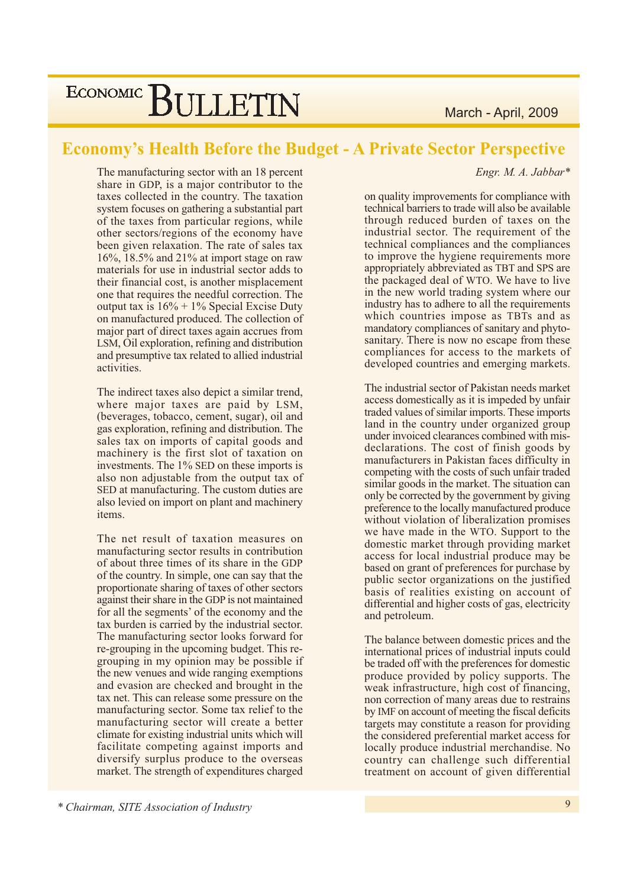March - April, 2009

## ECONOMIC BULLETIN

### **Economy's Health Before the Budget - A Private Sector Perspective**

The manufacturing sector with an 18 percent share in GDP, is a major contributor to the taxes collected in the country. The taxation system focuses on gathering a substantial part of the taxes from particular regions, while other sectors/regions of the economy have been given relaxation. The rate of sales tax 16%, 18.5% and 21% at import stage on raw materials for use in industrial sector adds to their financial cost, is another misplacement one that requires the needful correction. The output tax is  $16\% + 1\%$  Special Excise Duty on manufactured produced. The collection of major part of direct taxes again accrues from LSM, Oil exploration, refining and distribution and presumptive tax related to allied industrial activities.

The indirect taxes also depict a similar trend, where major taxes are paid by LSM, (beverages, tobacco, cement, sugar), oil and gas exploration, refining and distribution. The sales tax on imports of capital goods and machinery is the first slot of taxation on investments. The 1% SED on these imports is also non adjustable from the output tax of SED at manufacturing. The custom duties are also levied on import on plant and machinery items.

The net result of taxation measures on manufacturing sector results in contribution of about three times of its share in the GDP of the country. In simple, one can say that the proportionate sharing of taxes of other sectors against their share in the GDP is not maintained for all the segments' of the economy and the tax burden is carried by the industrial sector. The manufacturing sector looks forward for re-grouping in the upcoming budget. This regrouping in my opinion may be possible if the new venues and wide ranging exemptions and evasion are checked and brought in the tax net. This can release some pressure on the manufacturing sector. Some tax relief to the manufacturing sector will create a better climate for existing industrial units which will facilitate competing against imports and diversify surplus produce to the overseas market. The strength of expenditures charged Engr. M. A. Jabbar\*

on quality improvements for compliance with technical barriers to trade will also be available through reduced burden of taxes on the industrial sector. The requirement of the technical compliances and the compliances to improve the hygiene requirements more appropriately abbreviated as TBT and SPS are the packaged deal of WTO. We have to live in the new world trading system where our industry has to adhere to all the requirements which countries impose as TBTs and as mandatory compliances of sanitary and phytosanitary. There is now no escape from these compliances for access to the markets of developed countries and emerging markets.

The industrial sector of Pakistan needs market access domestically as it is impeded by unfair traded values of similar imports. These imports land in the country under organized group under invoiced clearances combined with misdeclarations. The cost of finish goods by manufacturers in Pakistan faces difficulty in competing with the costs of such unfair traded similar goods in the market. The situation can only be corrected by the government by giving preference to the locally manufactured produce without violation of liberalization promises we have made in the WTO. Support to the domestic market through providing market access for local industrial produce may be based on grant of preferences for purchase by public sector organizations on the justified basis of realities existing on account of differential and higher costs of gas, electricity and petroleum.

The balance between domestic prices and the international prices of industrial inputs could be traded off with the preferences for domestic produce provided by policy supports. The weak infrastructure, high cost of financing, non correction of many areas due to restrains by IMF on account of meeting the fiscal deficits targets may constitute a reason for providing the considered preferential market access for locally produce industrial merchandise. No country can challenge such differential treatment on account of given differential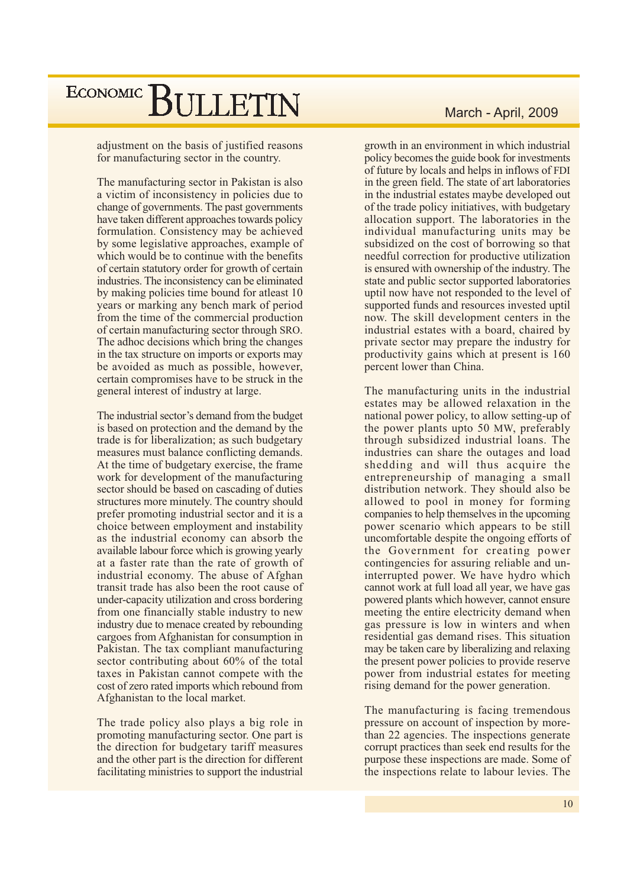adjustment on the basis of justified reasons for manufacturing sector in the country.

The manufacturing sector in Pakistan is also a victim of inconsistency in policies due to change of governments. The past governments have taken different approaches towards policy formulation. Consistency may be achieved by some legislative approaches, example of which would be to continue with the benefits of certain statutory order for growth of certain industries. The inconsistency can be eliminated by making policies time bound for atleast 10 years or marking any bench mark of period from the time of the commercial production of certain manufacturing sector through SRO. The adhoc decisions which bring the changes in the tax structure on imports or exports may be avoided as much as possible, however, certain compromises have to be struck in the general interest of industry at large.

The industrial sector's demand from the budget is based on protection and the demand by the trade is for liberalization; as such budgetary measures must balance conflicting demands. At the time of budgetary exercise, the frame work for development of the manufacturing sector should be based on cascading of duties structures more minutely. The country should prefer promoting industrial sector and it is a choice between employment and instability as the industrial economy can absorb the available labour force which is growing yearly at a faster rate than the rate of growth of industrial economy. The abuse of Afghan transit trade has also been the root cause of under-capacity utilization and cross bordering from one financially stable industry to new industry due to menace created by rebounding cargoes from Afghanistan for consumption in Pakistan. The tax compliant manufacturing sector contributing about 60% of the total taxes in Pakistan cannot compete with the cost of zero rated imports which rebound from Afghanistan to the local market.

The trade policy also plays a big role in promoting manufacturing sector. One part is the direction for budgetary tariff measures and the other part is the direction for different facilitating ministries to support the industrial

#### March - April, 2009

growth in an environment in which industrial policy becomes the guide book for investments of future by locals and helps in inflows of FDI in the green field. The state of art laboratories in the industrial estates maybe developed out of the trade policy initiatives, with budgetary allocation support. The laboratories in the individual manufacturing units may be subsidized on the cost of borrowing so that needful correction for productive utilization is ensured with ownership of the industry. The state and public sector supported laboratories uptil now have not responded to the level of supported funds and resources invested uptil now. The skill development centers in the industrial estates with a board, chaired by private sector may prepare the industry for productivity gains which at present is 160 percent lower than China.

The manufacturing units in the industrial estates may be allowed relaxation in the national power policy, to allow setting-up of the power plants upto 50 MW, preferably through subsidized industrial loans. The industries can share the outages and load shedding and will thus acquire the entrepreneurship of managing a small distribution network. They should also be allowed to pool in money for forming companies to help themselves in the upcoming power scenario which appears to be still uncomfortable despite the ongoing efforts of the Government for creating power contingencies for assuring reliable and uninterrupted power. We have hydro which cannot work at full load all year, we have gas powered plants which however, cannot ensure meeting the entire electricity demand when gas pressure is low in winters and when residential gas demand rises. This situation may be taken care by liberalizing and relaxing the present power policies to provide reserve power from industrial estates for meeting rising demand for the power generation.

The manufacturing is facing tremendous pressure on account of inspection by morethan 22 agencies. The inspections generate corrupt practices than seek end results for the purpose these inspections are made. Some of the inspections relate to labour levies. The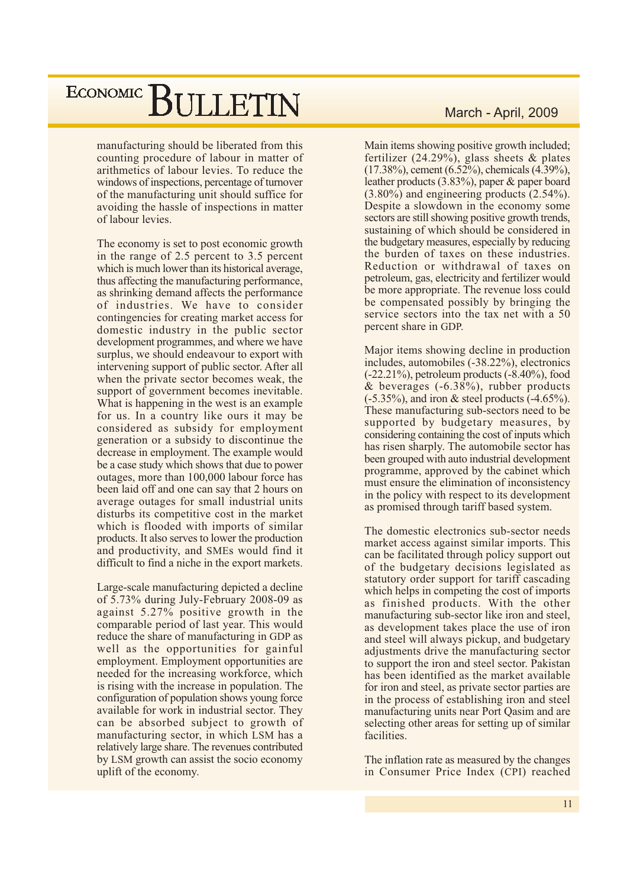manufacturing should be liberated from this counting procedure of labour in matter of arithmetics of labour levies. To reduce the windows of inspections, percentage of turnover of the manufacturing unit should suffice for avoiding the hassle of inspections in matter of labour levies.

The economy is set to post economic growth in the range of 2.5 percent to 3.5 percent which is much lower than its historical average, thus affecting the manufacturing performance, as shrinking demand affects the performance of industries. We have to consider contingencies for creating market access for domestic industry in the public sector development programmes, and where we have surplus, we should endeavour to export with intervening support of public sector. After all when the private sector becomes weak, the support of government becomes inevitable. What is happening in the west is an example for us. In a country like ours it may be considered as subsidy for employment generation or a subsidy to discontinue the decrease in employment. The example would be a case study which shows that due to power outages, more than 100,000 labour force has been laid off and one can say that 2 hours on average outages for small industrial units disturbs its competitive cost in the market which is flooded with imports of similar products. It also serves to lower the production and productivity, and SMEs would find it difficult to find a niche in the export markets.

Large-scale manufacturing depicted a decline of 5.73% during July-February 2008-09 as against 5.27% positive growth in the comparable period of last year. This would reduce the share of manufacturing in GDP as well as the opportunities for gainful employment. Employment opportunities are needed for the increasing workforce, which is rising with the increase in population. The configuration of population shows young force available for work in industrial sector. They can be absorbed subject to growth of manufacturing sector, in which LSM has a relatively large share. The revenues contributed by LSM growth can assist the socio economy uplift of the economy.

#### March - April, 2009

Main items showing positive growth included; fertilizer  $(24.29\%)$ , glass sheets & plates  $(17.38\%)$ , cement  $(6.52\%)$ , chemicals  $(4.39\%)$ , leather products  $(3.83\%)$ , paper & paper board  $(3.80\%)$  and engineering products  $(2.54\%).$ Despite a slowdown in the economy some sectors are still showing positive growth trends, sustaining of which should be considered in the budgetary measures, especially by reducing the burden of taxes on these industries. Reduction or withdrawal of taxes on petroleum, gas, electricity and fertilizer would be more appropriate. The revenue loss could be compensated possibly by bringing the service sectors into the tax net with a 50 percent share in GDP.

Major items showing decline in production includes, automobiles (-38.22%), electronics  $(-22.21\%)$ , petroleum products  $(-8.40\%)$ , food & beverages  $(-6.38\%)$ , rubber products  $(-5.35\%)$ , and iron & steel products  $(-4.65\%)$ . These manufacturing sub-sectors need to be. supported by budgetary measures, by considering containing the cost of inputs which has risen sharply. The automobile sector has been grouped with auto industrial development programme, approved by the cabinet which must ensure the elimination of inconsistency in the policy with respect to its development as promised through tariff based system.

The domestic electronics sub-sector needs market access against similar imports. This can be facilitated through policy support out of the budgetary decisions legislated as statutory order support for tariff cascading which helps in competing the cost of imports as finished products. With the other manufacturing sub-sector like iron and steel, as development takes place the use of iron and steel will always pickup, and budgetary adjustments drive the manufacturing sector to support the iron and steel sector. Pakistan has been identified as the market available for iron and steel, as private sector parties are in the process of establishing iron and steel manufacturing units near Port Qasim and are selecting other areas for setting up of similar facilities.

The inflation rate as measured by the changes in Consumer Price Index (CPI) reached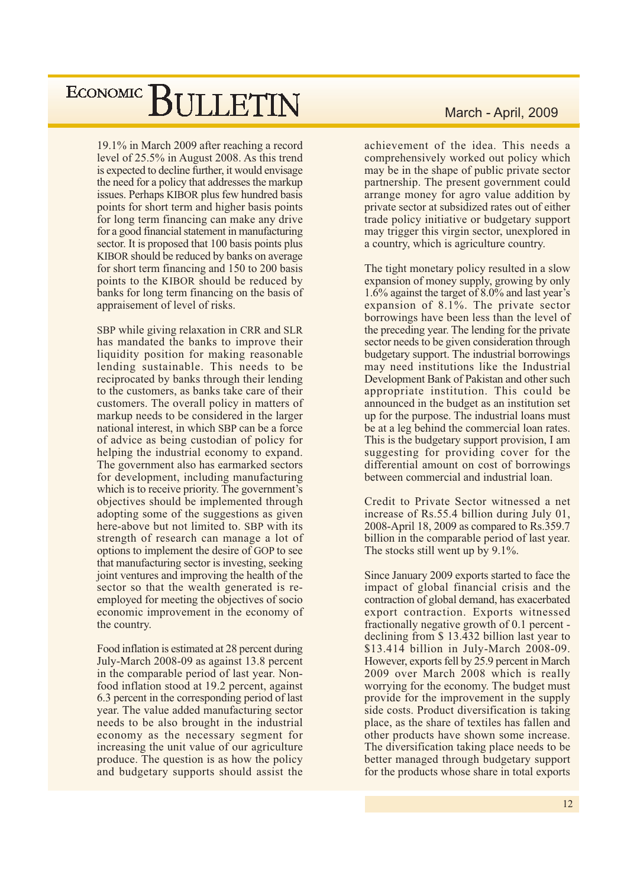19.1% in March 2009 after reaching a record level of 25.5% in August 2008. As this trend is expected to decline further, it would envisage the need for a policy that addresses the markup issues. Perhaps KIBOR plus few hundred basis points for short term and higher basis points for long term financing can make any drive for a good financial statement in manufacturing sector. It is proposed that 100 basis points plus KIBOR should be reduced by banks on average for short term financing and 150 to 200 basis points to the KIBOR should be reduced by banks for long term financing on the basis of appraisement of level of risks.

SBP while giving relaxation in CRR and SLR has mandated the banks to improve their liquidity position for making reasonable lending sustainable. This needs to be reciprocated by banks through their lending to the customers, as banks take care of their customers. The overall policy in matters of markup needs to be considered in the larger national interest, in which SBP can be a force of advice as being custodian of policy for helping the industrial economy to expand. The government also has earmarked sectors for development, including manufacturing which is to receive priority. The government's objectives should be implemented through adopting some of the suggestions as given here-above but not limited to. SBP with its strength of research can manage a lot of options to implement the desire of GOP to see that manufacturing sector is investing, seeking joint ventures and improving the health of the sector so that the wealth generated is reemployed for meeting the objectives of socio economic improvement in the economy of the country.

Food inflation is estimated at 28 percent during July-March 2008-09 as against 13.8 percent in the comparable period of last year. Nonfood inflation stood at 19.2 percent, against 6.3 percent in the corresponding period of last year. The value added manufacturing sector needs to be also brought in the industrial economy as the necessary segment for increasing the unit value of our agriculture produce. The question is as how the policy and budgetary supports should assist the

#### March - April, 2009

achievement of the idea. This needs a comprehensively worked out policy which may be in the shape of public private sector partnership. The present government could arrange money for agro value addition by private sector at subsidized rates out of either trade policy initiative or budgetary support may trigger this virgin sector, unexplored in a country, which is agriculture country.

The tight monetary policy resulted in a slow expansion of money supply, growing by only 1.6% against the target of 8.0% and last year's expansion of 8.1%. The private sector borrowings have been less than the level of the preceding year. The lending for the private sector needs to be given consideration through budgetary support. The industrial borrowings may need institutions like the Industrial Development Bank of Pakistan and other such appropriate institution. This could be announced in the budget as an institution set up for the purpose. The industrial loans must be at a leg behind the commercial loan rates. This is the budgetary support provision, I am suggesting for providing cover for the differential amount on cost of borrowings between commercial and industrial loan.

Credit to Private Sector witnessed a net increase of Rs.55.4 billion during July 01. 2008-April 18, 2009 as compared to Rs.359.7 billion in the comparable period of last year. The stocks still went up by 9.1%.

Since January 2009 exports started to face the impact of global financial crisis and the contraction of global demand, has exacerbated export contraction. Exports witnessed fractionally negative growth of 0.1 percent declining from \$13.432 billion last year to \$13.414 billion in July-March 2008-09. However, exports fell by 25.9 percent in March 2009 over March 2008 which is really worrying for the economy. The budget must provide for the improvement in the supply side costs. Product diversification is taking place, as the share of textiles has fallen and other products have shown some increase. The diversification taking place needs to be better managed through budgetary support for the products whose share in total exports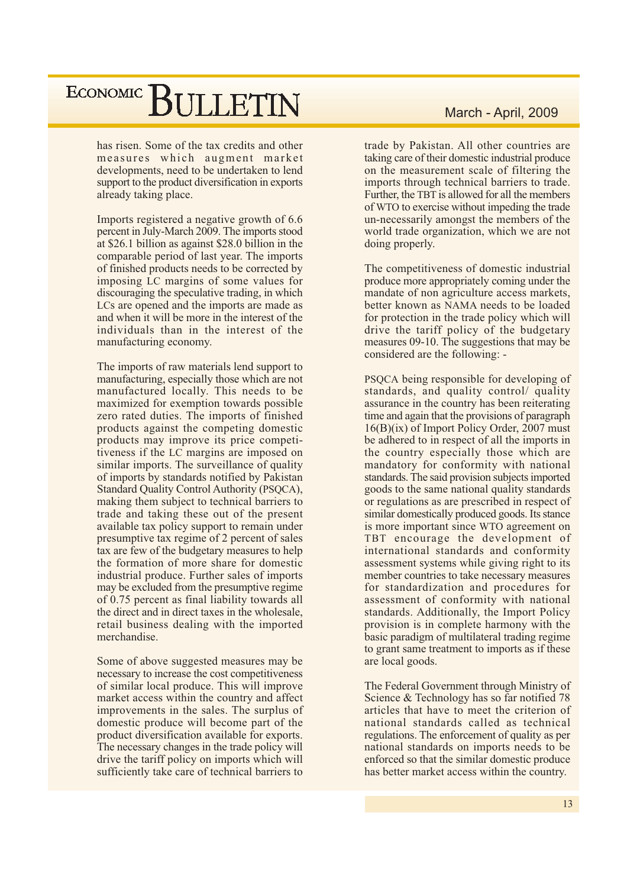has risen. Some of the tax credits and other measures which augment market developments, need to be undertaken to lend support to the product diversification in exports already taking place.

Imports registered a negative growth of 6.6 percent in July-March 2009. The imports stood at \$26.1 billion as against \$28.0 billion in the comparable period of last year. The imports of finished products needs to be corrected by imposing LC margins of some values for discouraging the speculative trading, in which LCs are opened and the imports are made as and when it will be more in the interest of the individuals than in the interest of the manufacturing economy.

The imports of raw materials lend support to manufacturing, especially those which are not manufactured locally. This needs to be maximized for exemption towards possible zero rated duties. The imports of finished products against the competing domestic products may improve its price competitiveness if the LC margins are imposed on similar imports. The surveillance of quality of imports by standards notified by Pakistan Standard Quality Control Authority (PSQCA), making them subject to technical barriers to trade and taking these out of the present available tax policy support to remain under presumptive tax regime of 2 percent of sales tax are few of the budgetary measures to help the formation of more share for domestic industrial produce. Further sales of imports may be excluded from the presumptive regime of 0.75 percent as final liability towards all the direct and in direct taxes in the wholesale, retail business dealing with the imported merchandise.

Some of above suggested measures may be necessary to increase the cost competitiveness of similar local produce. This will improve market access within the country and affect improvements in the sales. The surplus of domestic produce will become part of the product diversification available for exports. The necessary changes in the trade policy will drive the tariff policy on imports which will sufficiently take care of technical barriers to

#### March - April, 2009

trade by Pakistan. All other countries are taking care of their domestic industrial produce on the measurement scale of filtering the imports through technical barriers to trade. Further, the TBT is allowed for all the members of WTO to exercise without impeding the trade un-necessarily amongst the members of the world trade organization, which we are not doing properly.

The competitiveness of domestic industrial produce more appropriately coming under the mandate of non agriculture access markets, better known as NAMA needs to be loaded for protection in the trade policy which will drive the tariff policy of the budgetary measures 09-10. The suggestions that may be considered are the following: -

PSQCA being responsible for developing of standards, and quality control/ quality assurance in the country has been reiterating time and again that the provisions of paragraph  $16(B)(ix)$  of Import Policy Order, 2007 must be adhered to in respect of all the imports in the country especially those which are mandatory for conformity with national standards. The said provision subjects imported goods to the same national quality standards or regulations as are prescribed in respect of similar domestically produced goods. Its stance is more important since WTO agreement on TBT encourage the development of international standards and conformity assessment systems while giving right to its member countries to take necessary measures for standardization and procedures for assessment of conformity with national standards. Additionally, the Import Policy provision is in complete harmony with the basic paradigm of multilateral trading regime to grant same treatment to imports as if these are local goods.

The Federal Government through Ministry of Science & Technology has so far notified 78 articles that have to meet the criterion of national standards called as technical regulations. The enforcement of quality as per national standards on imports needs to be enforced so that the similar domestic produce has better market access within the country.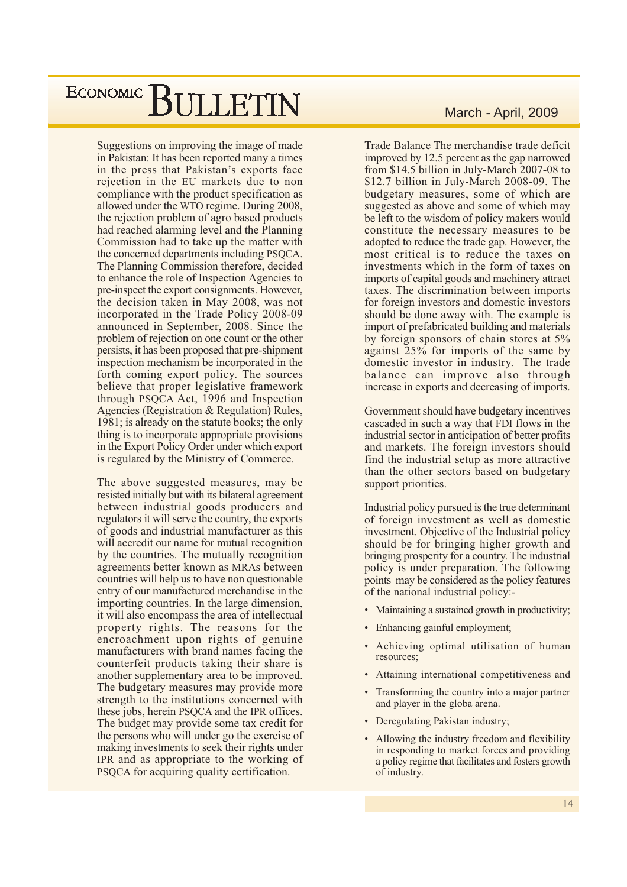Suggestions on improving the image of made in Pakistan: It has been reported many a times in the press that Pakistan's exports face rejection in the EU markets due to non compliance with the product specification as allowed under the WTO regime. During 2008, the rejection problem of agro based products had reached alarming level and the Planning Commission had to take up the matter with the concerned departments including PSQCA. The Planning Commission therefore, decided to enhance the role of Inspection Agencies to pre-inspect the export consignments. However, the decision taken in May 2008, was not incorporated in the Trade Policy 2008-09 announced in September, 2008. Since the problem of rejection on one count or the other persists, it has been proposed that pre-shipment inspection mechanism be incorporated in the forth coming export policy. The sources believe that proper legislative framework through PSOCA Act. 1996 and Inspection Agencies (Registration & Regulation) Rules. 1981; is already on the statute books; the only thing is to incorporate appropriate provisions in the Export Policy Order under which export is regulated by the Ministry of Commerce.

The above suggested measures, may be resisted initially but with its bilateral agreement between industrial goods producers and regulators it will serve the country, the exports of goods and industrial manufacturer as this will accredit our name for mutual recognition by the countries. The mutually recognition agreements better known as MRAs between countries will help us to have non questionable entry of our manufactured merchandise in the importing countries. In the large dimension, it will also encompass the area of intellectual property rights. The reasons for the encroachment upon rights of genuine manufacturers with brand names facing the counterfeit products taking their share is another supplementary area to be improved. The budgetary measures may provide more strength to the institutions concerned with these jobs, herein PSQCA and the IPR offices. The budget may provide some tax credit for the persons who will under go the exercise of making investments to seek their rights under IPR and as appropriate to the working of PSQCA for acquiring quality certification.

#### March - April, 2009

Trade Balance The merchandise trade deficit improved by 12.5 percent as the gap narrowed from \$14.5 billion in July-March 2007-08 to \$12.7 billion in July-March 2008-09. The budgetary measures, some of which are suggested as above and some of which may be left to the wisdom of policy makers would constitute the necessary measures to be adopted to reduce the trade gap. However, the most critical is to reduce the taxes on investments which in the form of taxes on imports of capital goods and machinery attract taxes. The discrimination between imports for foreign investors and domestic investors should be done away with. The example is import of prefabricated building and materials by foreign sponsors of chain stores at 5% against 25% for imports of the same by domestic investor in industry. The trade balance can improve also through increase in exports and decreasing of imports.

Government should have budgetary incentives cascaded in such a way that FDI flows in the industrial sector in anticipation of better profits and markets. The foreign investors should find the industrial setup as more attractive than the other sectors based on budgetary support priorities.

Industrial policy pursued is the true determinant of foreign investment as well as domestic investment. Objective of the Industrial policy should be for bringing higher growth and bringing prosperity for a country. The industrial policy is under preparation. The following points may be considered as the policy features of the national industrial policy:-

- Maintaining a sustained growth in productivity;
- Enhancing gainful employment;
- $\bullet$ Achieving optimal utilisation of human resources;
- Attaining international competitiveness and
- Transforming the country into a major partner and player in the globa arena.
- Deregulating Pakistan industry;
- Allowing the industry freedom and flexibility in responding to market forces and providing a policy regime that facilitates and fosters growth of industry.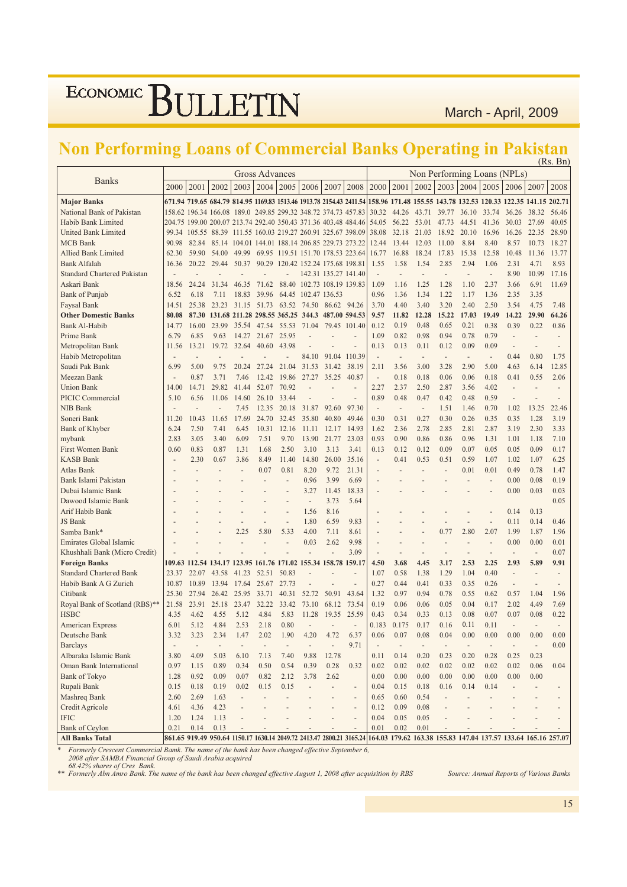March - April, 2009

### Non Performing Loans of Commercial Banks Operating in Pakistan

|                                       |                          |               |                                                                |                              |                       |                                   |                            |                      |                                                                                                                                     |                                  |                          |                |                                                                |                                  |                        |                          |                              | (KS. BII      |
|---------------------------------------|--------------------------|---------------|----------------------------------------------------------------|------------------------------|-----------------------|-----------------------------------|----------------------------|----------------------|-------------------------------------------------------------------------------------------------------------------------------------|----------------------------------|--------------------------|----------------|----------------------------------------------------------------|----------------------------------|------------------------|--------------------------|------------------------------|---------------|
|                                       |                          |               |                                                                |                              | <b>Gross Advances</b> |                                   |                            |                      |                                                                                                                                     |                                  |                          |                | Non Performing Loans (NPLs)                                    |                                  |                        |                          |                              |               |
| <b>Banks</b>                          | 2000                     | 2001          | 2002                                                           | 2003                         | 2004                  | 2005                              | 2006                       | 2007                 | 2008                                                                                                                                | 2000                             | 2001                     | $2002$   2003  |                                                                | 2004                             | 2005                   | 2006                     | 2007                         | 2008          |
|                                       |                          |               |                                                                |                              |                       |                                   |                            |                      | 671.94 719.65 684.79 814.95 1169.83 1513.46 1913.78 2154.43 2411.54                                                                 |                                  |                          |                | 158.96 171.48 155.55 143.78 132.53 120.33 122.35 141.15 202.71 |                                  |                        |                          |                              |               |
| <b>Major Banks</b>                    |                          |               |                                                                |                              |                       |                                   |                            |                      |                                                                                                                                     |                                  |                          |                |                                                                |                                  |                        |                          |                              |               |
| National Bank of Pakistan             |                          |               |                                                                |                              |                       |                                   |                            |                      | 158.62 196.34 166.08 189.0 249.85 299.32 348.72 374.73 457.83                                                                       | 30.32                            | 44.26                    | 43.71          | 39.77                                                          | 36.10                            | 33.74                  | 36.26                    | 38.32                        | 56.46         |
| Habib Bank Limited                    |                          | 204.75 199.00 |                                                                |                              |                       |                                   |                            |                      | 200.07 213.74 292.40 350.43 371.36 403.48 484.46                                                                                    | 54.05                            | 56.22                    | 53.01          | 47.73                                                          | 44.51                            | 41.36                  | 30.03                    | 27.69                        | 40.05         |
| United Bank Limited                   | 99.34                    | 105.55        | 88.39                                                          |                              |                       |                                   |                            |                      | 111.55 160.03 219.27 260.91 325.67 398.09                                                                                           | 38.08<br>12.44                   | 32.18                    | 21.03          | 18.92                                                          | 20.10                            | 16.96                  | 16.26                    | 22.35                        | 28.90         |
| <b>MCB</b> Bank                       | 90.98                    | 82.84         | 85.14                                                          |                              |                       |                                   |                            |                      | 104.01 144.01 188.14 206.85 229.73 273.22                                                                                           |                                  | 13.44                    | 12.03          | 11.00                                                          | 8.84                             | 8.40                   | 8.57                     | 10.73                        | 18.27         |
| Allied Bank Limited                   | 62.30                    | 59.90         | 54.00                                                          | 49.99                        |                       |                                   |                            |                      | 69.95 119.51 151.70 178.53 223.64                                                                                                   | 16.77                            | 16.88                    | 18.24          | 17.83                                                          | 15.38                            | 12.58                  | 10.48                    | 11.36                        | 13.77         |
| Bank Alfalah                          | 16.36                    | 20.22         | 29.44                                                          | 50.37                        |                       | 90.29 120.42 152.24 175.68 198.81 |                            | 142.31 135.27 141.40 |                                                                                                                                     | 1.55                             | 1.58                     | 1.54           | 2.85                                                           | 2.94                             | 1.06                   | 2.31                     | 4.71                         | 8.93          |
| <b>Standard Chartered Pakistan</b>    |                          |               |                                                                |                              |                       |                                   |                            |                      |                                                                                                                                     | ÷,                               | $\overline{\phantom{a}}$ | $\overline{a}$ | $\overline{a}$                                                 | $\overline{a}$                   | $\overline{a}$         | 8.90                     | 10.99                        | 17.16         |
| Askari Bank                           | 18.56                    | 24.24         | 31.34                                                          | 46.35                        | 71.62                 |                                   | 88.40 102.73 108.19 139.83 |                      |                                                                                                                                     | 1.09                             | 1.16                     | 1.25           | 1.28                                                           | 1.10                             | 2.37                   | 3.66                     | 6.91                         | 11.69         |
| <b>Bank of Punjab</b>                 | 6.52                     | 6.18          | 7.11                                                           | 18.83                        | 39.96                 | 64.45                             | 102.47 136.53              |                      |                                                                                                                                     | 0.96                             | 1.36                     | 1.34           | 1.22                                                           | 1.17                             | 1.36                   | 2.35                     | 3.35                         |               |
| Faysal Bank                           | 14.51                    | 25.38         | 23.23                                                          | 31.15                        | 51.73                 | 63.52                             | 74.50                      | 86.62                | 94.26                                                                                                                               | 3.70                             | 4.40                     | 3.40           | 3.20                                                           | 2.40                             | 2.50                   | 3.54                     | 4.75                         | 7.48          |
| <b>Other Domestic Banks</b>           | 80.08                    | 87.30         | 131.68 211.28 298.55 365.25 344.3                              |                              |                       |                                   |                            | 487.00 594.53        |                                                                                                                                     | 9.57                             | 11.82                    | 12.28          | 15.22                                                          | 17.03                            | 19.49                  | 14.22                    | 29.90                        | 64.26         |
| Bank Al-Habib                         | 14.77                    | 16.00         | 23.99                                                          | 35.54                        | 47.54                 | 55.53                             | 71.04                      | 79.45                | 101.40                                                                                                                              | 0.12                             | 0.19                     | 0.48           | 0.65                                                           | 0.21                             | 0.38                   | 0.39                     | 0.22                         | 0.86          |
| Prime Bank                            | 6.79                     | 6.85          | 9.63                                                           | 14.27                        | 21.67                 | 25.95                             |                            |                      |                                                                                                                                     | 1.09                             | 0.82                     | 0.98           | 0.94                                                           | 0.78                             | 0.79                   |                          |                              |               |
| Metropolitan Bank                     | 11.56                    | 13.21         | 19.72                                                          | 32.64                        | 40.60                 | 43.98                             |                            |                      |                                                                                                                                     | 0.13                             | 0.13                     | 0.11           | 0.12                                                           | 0.09                             | 0.09                   | $\overline{\phantom{a}}$ | $\overline{a}$               |               |
| Habib Metropolitan<br>Saudi Pak Bank  | $\overline{a}$<br>6.99   |               | 9.75                                                           |                              |                       |                                   | 84.10                      | 91.04                | 110.39                                                                                                                              | $\overline{a}$                   | $\overline{\phantom{a}}$ | 3.00           | $\overline{\phantom{a}}$<br>3.28                               | $\overline{\phantom{a}}$<br>2.90 | $\overline{a}$<br>5.00 | 0.44                     | 0.80                         | 1.75          |
| Meezan Bank                           |                          | 5.00<br>0.87  | 3.71                                                           | 20.24<br>7.46                | 27.24<br>12.42        | 21.04                             | 31.53<br>27.27             | 31.42<br>35.25       | 38.19<br>40.87                                                                                                                      | 2.11<br>$\sim$                   | 3.56<br>0.18             | 0.18           | 0.06                                                           | 0.06                             | 0.18                   | 4.63<br>0.41             | 6.14<br>0.55                 | 12.85<br>2.06 |
|                                       | 14.00                    |               | 29.82                                                          | 41.44                        | 52.07                 | 19.86<br>70.92                    |                            |                      |                                                                                                                                     | 2.27                             |                          |                | 2.87                                                           | 3.56                             | 4.02                   | $\overline{\phantom{a}}$ |                              |               |
| <b>Union Bank</b><br>PICIC Commercial | 5.10                     | 14.71         | 11.06                                                          | 14.60                        |                       |                                   | Ē,                         | $\overline{a}$       |                                                                                                                                     | 0.89                             | 2.37                     | 2.50<br>0.47   | 0.42                                                           | 0.48                             |                        | $\overline{\phantom{a}}$ |                              |               |
| NIB Bank                              |                          | 6.56          |                                                                | 7.45                         | 26.10                 | 33.44                             |                            | 92.60                |                                                                                                                                     |                                  | 0.48<br>$\overline{a}$   | ÷,             |                                                                |                                  | 0.59                   | 1.02                     | 13.25                        | 22.46         |
| Soneri Bank                           | 11.20                    | 10.43         | 11.65                                                          | 17.69                        | 12.35<br>24.70        | 20.18<br>32.45                    | 31.87<br>35.80             | 40.80                | 97.30<br>49.46                                                                                                                      | $\overline{\phantom{a}}$<br>0.30 | 0.31                     | 0.27           | 1.51<br>0.30                                                   | 1.46<br>0.26                     | 0.70<br>0.35           | 0.35                     | 1.28                         | 3.19          |
| Bank of Khyber                        | 6.24                     | 7.50          | 7.41                                                           | 6.45                         | 10.31                 | 12.16                             | 11.11                      | 12.17                | 14.93                                                                                                                               | 1.62                             | 2.36                     | 2.78           | 2.85                                                           | 2.81                             | 2.87                   | 3.19                     | 2.30                         | 3.33          |
| mybank                                | 2.83                     | 3.05          | 3.40                                                           | 6.09                         | 7.51                  | 9.70                              | 13.90                      | 21.77                | 23.03                                                                                                                               | 0.93                             | 0.90                     | 0.86           | 0.86                                                           | 0.96                             | 1.31                   | 1.01                     | 1.18                         | 7.10          |
| <b>First Women Bank</b>               | 0.60                     | 0.83          | 0.87                                                           | 1.31                         | 1.68                  | 2.50                              | 3.10                       | 3.13                 | 3.41                                                                                                                                | 0.13                             | 0.12                     | 0.12           | 0.09                                                           | 0.07                             | 0.05                   | 0.05                     | 0.09                         | 0.17          |
| <b>KASB Bank</b>                      | $\overline{a}$           | 2.30          | 0.67                                                           | 3.86                         | 8.49                  | 11.40                             | 14.80                      | 26.00                | 35.16                                                                                                                               | $\overline{a}$                   | 0.41                     | 0.53           | 0.51                                                           | 0.59                             | 1.07                   | 1.02                     | 1.07                         | 6.25          |
| Atlas Bank                            |                          |               |                                                                |                              | 0.07                  | 0.81                              | 8.20                       | 9.72                 | 21.31                                                                                                                               |                                  |                          |                | L                                                              | 0.01                             | 0.01                   | 0.49                     | 0.78                         | 1.47          |
| Bank Islami Pakistan                  |                          |               |                                                                |                              |                       |                                   | 0.96                       | 3.99                 | 6.69                                                                                                                                |                                  |                          |                |                                                                |                                  |                        | 0.00                     | 0.08                         | 0.19          |
| Dubai Islamic Bank                    |                          |               |                                                                |                              |                       |                                   | 3.27                       | 11.45                | 18.33                                                                                                                               |                                  |                          |                |                                                                |                                  |                        | 0.00                     | 0.03                         | 0.03          |
| Dawood Islamic Bank                   |                          |               |                                                                |                              |                       |                                   | $\overline{a}$             | 3.73                 | 5.64                                                                                                                                |                                  |                          |                |                                                                |                                  |                        |                          |                              | 0.05          |
| Arif Habib Bank                       |                          |               |                                                                |                              |                       |                                   | 1.56                       | 8.16                 |                                                                                                                                     |                                  |                          |                |                                                                |                                  |                        | 0.14                     | 0.13                         |               |
| JS Bank                               |                          |               |                                                                |                              |                       |                                   | 1.80                       | 6.59                 | 9.83                                                                                                                                |                                  |                          |                |                                                                |                                  |                        | 0.11                     | 0.14                         | 0.46          |
| Samba Bank*                           |                          |               |                                                                | 2.25                         | 5.80                  | 5.33                              | 4.00                       | 7.11                 | 8.61                                                                                                                                |                                  |                          |                | 0.77                                                           | 2.80                             | 2.07                   | 1.99                     | 1.87                         | 1.96          |
| Emirates Global Islamic               |                          |               |                                                                |                              |                       |                                   | 0.03                       | 2.62                 | 9.98                                                                                                                                | $\overline{a}$                   |                          |                | L,                                                             |                                  | $\overline{a}$         | 0.00                     | 0.00                         | 0.01          |
| Khushhali Bank (Micro Credit)         |                          |               |                                                                |                              |                       |                                   |                            |                      | 3.09                                                                                                                                |                                  |                          |                |                                                                | $\overline{a}$                   |                        |                          |                              | 0.07          |
| <b>Foreign Banks</b>                  |                          |               | 109.63 112.54 134.17 123.95 161.76 171.02 155.34 158.78 159.17 |                              |                       |                                   |                            |                      |                                                                                                                                     | 4.50                             | 3.68                     | 4.45           | 3.17                                                           | 2.53                             | 2.25                   | 2.93                     | 5.89                         | 9.91          |
| <b>Standard Chartered Bank</b>        | 23.37                    | 22.07         | 43.58                                                          | 41.23                        | 52.51                 | 50.83                             |                            |                      |                                                                                                                                     | 1.07                             | 0.58                     | 1.38           | 1.29                                                           | 1.04                             | 0.40                   |                          |                              |               |
| Habib Bank A G Zurich                 | 10.87                    | 10.89         | 13.94                                                          | 17.64                        | 25.67                 | 27.73                             |                            |                      |                                                                                                                                     | 0.27                             | 0.44                     | 0.41           | 0.33                                                           | 0.35                             | 0.26                   | $\overline{\phantom{a}}$ | $\overline{\phantom{a}}$     |               |
| Citibank                              | 25.30                    | 27.94         | 26.42                                                          | 25.95                        | 33.71                 | 40.31                             | 52.72                      | 50.91                | 43.64                                                                                                                               | 1.32                             | 0.97                     | 0.94           | 0.78                                                           | 0.55                             | 0.62                   | 0.57                     | 1.04                         | 1.96          |
| Royal Bank of Scotland (RBS)**        | 21.58                    | 23.91         | 25.18                                                          | 23.47                        | 32.22                 | 33.42                             | 73.10                      | 68.12                | 73.54                                                                                                                               | 0.19                             | 0.06                     | 0.06           | 0.05                                                           | 0.04                             | 0.17                   | 2.02                     | 4.49                         | 7.69          |
| <b>HSBC</b>                           | 4.35                     | 4.62          | 4.55                                                           | 5.12                         | 4.84                  | 5.83                              | 11.28                      | 19.35                | 25.59                                                                                                                               | 0.43                             | 0.34                     | 0.33           | 0.13                                                           | 0.08                             | 0.07                   | 0.07                     | 0.08                         | 0.22          |
| <b>American Express</b>               | 6.01                     | 5.12          | 4.84                                                           | 2.53                         | 2.18                  | 0.80                              |                            |                      |                                                                                                                                     | 0.183                            | 0.175                    | 0.17           | 0.16                                                           | 0.11                             | 0.11                   |                          |                              |               |
| Deutsche Bank                         | 3.32                     | 3.23          | 2.34                                                           | 1.47                         | 2.02                  | 1.90                              | 4.20                       | 4.72                 | 6.37                                                                                                                                | 0.06                             | 0.07                     | 0.08           | 0.04                                                           | $0.00\,$                         | 0.00                   | 0.00                     | 0.00                         | 0.00          |
| <b>Barclays</b>                       | $\overline{\phantom{a}}$ |               |                                                                | $\overline{\phantom{a}}$     | Ē,                    |                                   | $\overline{\phantom{0}}$   |                      | 9.71                                                                                                                                |                                  |                          |                |                                                                |                                  |                        |                          | $\qquad \qquad \blacksquare$ | 0.00          |
| Albaraka Islamic Bank                 | 3.80                     | 4.09          | 5.03                                                           | 6.10                         | 7.13                  | 7.40                              | 9.88                       | 12.78                |                                                                                                                                     | 0.11                             | 0.14                     | 0.20           | 0.23                                                           | 0.20                             | 0.28                   | 0.25                     | 0.23                         |               |
| Oman Bank International               | 0.97                     | 1.15          | 0.89                                                           | 0.34                         | 0.50                  | 0.54                              | 0.39                       | 0.28                 | 0.32                                                                                                                                | 0.02                             | 0.02                     | 0.02           | 0.02                                                           | 0.02                             | 0.02                   | 0.02                     | 0.06                         | 0.04          |
| <b>Bank of Tokyo</b>                  | 1.28                     | 0.92          | 0.09                                                           | 0.07                         | 0.82                  | 2.12                              | 3.78                       | 2.62                 |                                                                                                                                     | 0.00                             | 0.00                     | 0.00           | 0.00                                                           | 0.00                             | 0.00                   | 0.00                     | 0.00                         |               |
| Rupali Bank                           | 0.15                     | 0.18          | 0.19                                                           | 0.02                         | 0.15                  | 0.15                              |                            |                      | $\qquad \qquad \blacksquare$                                                                                                        | 0.04                             | 0.15                     | 0.18           | 0.16                                                           | 0.14                             | 0.14                   | $\overline{a}$           |                              |               |
| Mashreq Bank                          | 2.60                     | 2.69          | 1.63                                                           | $\qquad \qquad \blacksquare$ | ÷                     | $\overline{a}$                    |                            |                      |                                                                                                                                     | 0.65                             | 0.60                     | 0.54           | $\overline{\phantom{a}}$                                       |                                  |                        |                          |                              |               |
| Credit Agricole                       | 4.61                     | 4.36          | 4.23                                                           |                              |                       |                                   |                            |                      | $\overline{\phantom{a}}$                                                                                                            | 0.12                             | 0.09                     | 0.08           | ÷,                                                             |                                  |                        |                          |                              |               |
| <b>IFIC</b>                           | 1.20                     | 1.24          | 1.13                                                           |                              |                       |                                   |                            |                      |                                                                                                                                     | 0.04                             | 0.05                     | 0.05           |                                                                |                                  |                        |                          |                              |               |
| Bank of Ceylon                        | 0.21                     | 0.14          | 0.13                                                           |                              |                       |                                   |                            |                      |                                                                                                                                     | 0.01                             | 0.02                     | 0.01           |                                                                |                                  |                        |                          |                              |               |
| <b>All Banks Total</b>                |                          |               |                                                                |                              |                       |                                   |                            |                      | 861.65 919.49 950.64 1150.17 1630.14 2049.72 2413.47 2800.21 3165.24 164.03 179.62 163.38 155.83 147.04 137.57 133.64 165.16 257.07 |                                  |                          |                |                                                                |                                  |                        |                          |                              |               |

Formerly Crescent Commercial Bamk. The name of the bank has been changed effective September 6, 2008 after SAMBA Financial Group of Saudi Arabia acquired<br>68.42% shares of Cres Bank.

\*\* Formerly Abn Amro Bank. The name of the bank has been changed effective August 1, 2008 after acquisition by RBS

Source: Annual Reports of Various Banks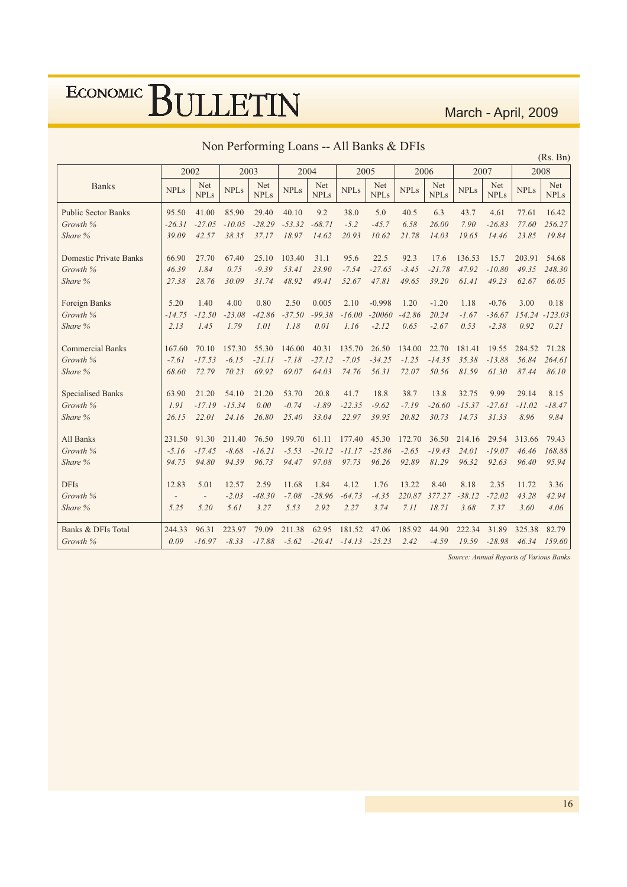March - April, 2009

|                               |             |                    |             |                    |             |                    |             |                    |             |                    |             |                    |             | (Rs. Bn)           |
|-------------------------------|-------------|--------------------|-------------|--------------------|-------------|--------------------|-------------|--------------------|-------------|--------------------|-------------|--------------------|-------------|--------------------|
|                               |             | 2002               | 2003        |                    |             | 2004               |             | 2005               | 2006        |                    | 2007        |                    |             | 2008               |
| <b>Banks</b>                  | <b>NPLs</b> | Net<br><b>NPLs</b> | <b>NPLs</b> | Net<br><b>NPLs</b> | <b>NPLs</b> | Net<br><b>NPLs</b> | <b>NPLs</b> | Net<br><b>NPLs</b> | <b>NPLs</b> | Net<br><b>NPLs</b> | <b>NPLs</b> | Net<br><b>NPLs</b> | <b>NPLs</b> | Net<br><b>NPLs</b> |
| <b>Public Sector Banks</b>    | 95.50       | 41.00              | 85.90       | 29.40              | 40.10       | 9.2                | 38.0        | 5.0                | 40.5        | 6.3                | 43.7        | 4.61               | 77.61       | 16.42              |
| Growth %                      | $-26.31$    | $-27.05$           | $-10.05$    | $-28.29$           | $-53.32$    | $-68.71$           | $-5.2$      | $-45.7$            | 6.58        | 26.00              | 7.90        | $-26.83$           | 77.60       | 256.27             |
| Share %                       | 39.09       | 42.57              | 38.35       | 37.17              | 18.97       | 14.62              | 20.93       | 10.62              | 21.78       | 14.03              | 19.65       | 14.46              | 23.85       | 19.84              |
| <b>Domestic Private Banks</b> | 66.90       | 27.70              | 67.40       | 25.10              | 103.40      | 31.1               | 95.6        | 22.5               | 92.3        | 17.6               | 136.53      | 15.7               | 203.91      | 54.68              |
| Growth %                      | 46.39       | 1.84               | 0.75        | $-9.39$            | 53.41       | 23.90              | $-7.54$     | $-27.65$           | $-3.45$     | $-21.78$           | 47.92       | $-10.80$           | 49.35       | 248.30             |
| Share %                       | 27.38       | 28.76              | 30.09       | 31.74              | 48.92       | 49.41              | 52.67       | 47.81              | 49.65       | 39.20              | 61.41       | 49.23              | 62.67       | 66.05              |
| Foreign Banks                 | 5.20        | 1.40               | 4.00        | 0.80               | 2.50        | 0.005              | 2.10        | $-0.998$           | 1.20        | $-1.20$            | 1.18        | $-0.76$            | 3.00        | 0.18               |
| Growth %                      | $-14.75$    | $-12.50$           | $-23.08$    | $-42.86$           | $-37.50$    | $-99.38$           | $-16.00$    | $-20060$           | $-42.86$    | 20.24              | $-1.67$     | $-36.67$           | 154.24      | $-123.03$          |
| Share %                       | 2.13        | 1.45               | 1.79        | 1.01               | 1.18        | 0.01               | 1.16        | $-2.12$            | 0.65        | $-2.67$            | 0.53        | $-2.38$            | 0.92        | 0.21               |
| <b>Commercial Banks</b>       | 167.60      | 70.10              | 157.30      | 55.30              | 146.00      | 40.31              | 135.70      | 26.50              | 134.00      | 22.70              | 181.41      | 19.55              | 284.52      | 71.28              |
| Growth %                      | $-7.61$     | $-17.53$           | $-6.15$     | $-21.11$           | $-7.18$     | $-27.12$           | $-7.05$     | $-34.25$           | $-1.25$     | $-14.35$           | 35.38       | $-13.88$           | 56.84       | 264.61             |
| Share %                       | 68.60       | 72.79              | 70.23       | 69.92              | 69.07       | 64.03              | 74.76       | 56.31              | 72.07       | 50.56              | 81.59       | 61.30              | 87.44       | 86.10              |
| <b>Specialised Banks</b>      | 63.90       | 21.20              | 54.10       | 21.20              | 53.70       | 20.8               | 41.7        | 18.8               | 38.7        | 13.8               | 32.75       | 9.99               | 29.14       | 8.15               |
| Growth %                      | 1.91        | $-17.19$           | $-15.34$    | 0.00               | $-0.74$     | $-1.89$            | $-22.35$    | $-9.62$            | $-7.19$     | $-26.60$           | $-15.37$    | $-27.61$           | $-11.02$    | $-18.47$           |
| Share %                       | 26.15       | 22.01              | 24.16       | 26.80              | 25.40       | 33.04              | 22.97       | 39.95              | 20.82       | 30.73              | 14.73       | 31.33              | 8.96        | 9.84               |
| All Banks                     | 231.50      | 91.30              | 211.40      | 76.50              | 199.70      | 61.11              | 177.40      | 45.30              | 172.70      | 36.50              | 214.16      | 29.54              | 313.66      | 79.43              |
| Growth %                      | $-5.16$     | $-17.45$           | $-8.68$     | $-16.21$           | $-5.53$     | $-20.12$           | $-11.17$    | $-25.86$           | $-2.65$     | $-19.43$           | 24.01       | $-19.07$           | 46.46       | 168.88             |
| Share %                       | 94.75       | 94.80              | 94.39       | 96.73              | 94.47       | 97.08              | 97.73       | 96.26              | 92.89       | 81.29              | 96.32       | 92.63              | 96.40       | 95.94              |
| <b>DFIs</b>                   | 12.83       | 5.01               | 12.57       | 2.59               | 11.68       | 1.84               | 4.12        | 1.76               | 13.22       | 8.40               | 8.18        | 2.35               | 11.72       | 3.36               |
| Growth %                      |             |                    | $-2.03$     | $-48.30$           | $-7.08$     | $-28.96$           | $-64.73$    | $-4.35$            | 220.87      | 377.27             | $-38.12$    | $-72.02$           | 43.28       | 42.94              |
| Share %                       | 5.25        | 5.20               | 5.61        | 3.27               | 5.53        | 2.92               | 2.27        | 3.74               | 7.11        | 18.71              | 3.68        | 7.37               | 3.60        | 4.06               |
| Banks & DFIs Total            | 244.33      | 96.31              | 223.97      | 79.09              | 211.38      | 62.95              | 181.52      | 47.06              | 185.92      | 44.90              | 222.34      | 31.89              | 325.38      | 82.79              |
| Growth %                      | 0.09        | $-16.97$           | $-8.33$     | $-17.88$           | $-5.62$     | $-20.41$           | $-14.13$    | $-25.23$           | 2.42        | $-4.59$            | 19.59       | $-28.98$           | 46.34       | 159.60             |

Source: Annual Reports of Various Banks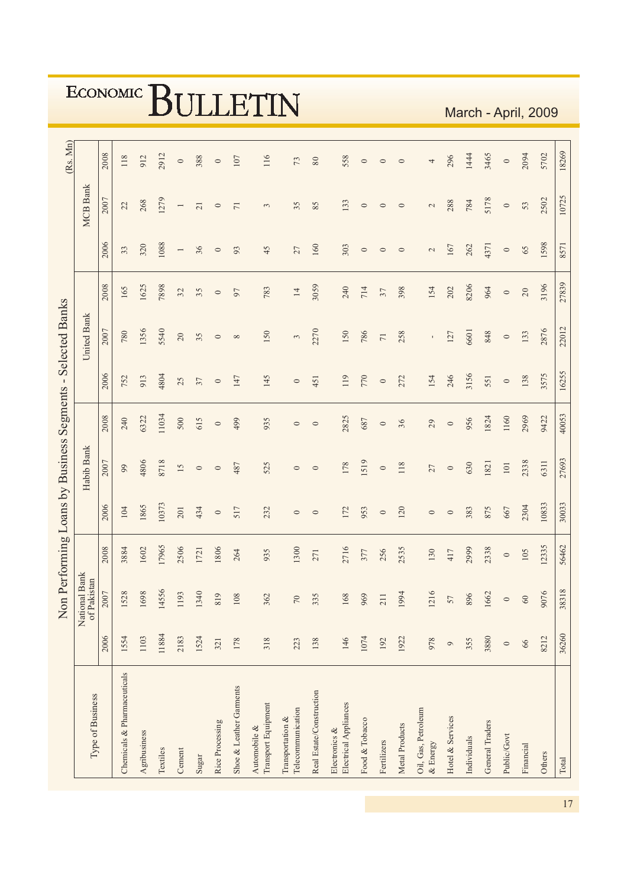|                                             |                              |      |                             |              |          |                          |                 |                 |                         | ULLEIIN                             |                                       |                          |                                        |                |                 |                       |                                 |                  |             |                 |             |           | March - April, 2009 |       |
|---------------------------------------------|------------------------------|------|-----------------------------|--------------|----------|--------------------------|-----------------|-----------------|-------------------------|-------------------------------------|---------------------------------------|--------------------------|----------------------------------------|----------------|-----------------|-----------------------|---------------------------------|------------------|-------------|-----------------|-------------|-----------|---------------------|-------|
| (Rs. Mn)                                    |                              | 2008 | 118                         | 912          | 2912     | $\circ$                  | 388             | $\circ$         | 107                     | 116                                 | $73$                                  | $\rm 80$                 | 558                                    | $\circ$        | $\circ$         | $\circ$               | 4                               | 296              | 1444        | 3465            | $\circ$     | 2094      | 5702                | 18269 |
|                                             | <b>MCB</b> Bank              | 2007 | 22                          | 268          | 1279     | $\overline{\phantom{a}}$ | $\overline{21}$ | $\circ$         | $71\,$                  | $\mathfrak{c}$                      | 35                                    | 85                       | 133                                    | $\circ$        | $\circ$         | $\circ$               | $\mathcal{L}$                   | 288              | 784         | 5178            | $\circ$     | 53        | 2502                | 10725 |
|                                             |                              | 2006 | 33                          | 320          | 1088     | $\overline{\phantom{0}}$ | 36              | $\circ$         | 93                      | 45                                  | 27                                    | 160                      | 303                                    | $\circ$        | $\circ$         | $\circ$               | $\mathcal{L}$                   | 167              | 262         | 4371            | $\circ$     | 65        | 1598                | 8571  |
|                                             |                              | 2008 | 165                         | 1625         | 7898     | 32                       | 35              | $\circ$         | 97                      | 783                                 | $14\,$                                | 3059                     | 240                                    | 714            | 37              | 398                   | 154                             | 202              | 8206        | 964             | $\circ$     | $20\,$    | 3196                | 27839 |
| <b>Selected Banks</b>                       | United Bank                  | 2007 | 780                         | 1356         | 5540     | $20\,$                   | 35              | $\circ$         | $\infty$                | 150                                 | $\sim$                                | 2270                     | 150                                    | 786            | $\overline{7}1$ | 258                   | $\mathbf{r}$                    | 127              | 6601        | 848             | $\circ$     | 133       | 2876                | 22012 |
|                                             |                              | 2006 | 752                         | 913          | 4804     | 25                       | 37              | $\circ$         | 147                     | 145                                 | $\circ$                               | 451                      | 119                                    | 770            | $\circ$         | 272                   | 154                             | 246              | 3156        | 551             | $\circ$     | 138       | 3575                | 16255 |
|                                             |                              | 2008 | 240                         | 6322         | 11034    | 500                      | 615             | $\circ$         | 499                     | 935                                 | $\circ$                               | $\circ$                  | 2825                                   | 687            | $\circ$         | 36                    | 29                              | $\circ$          | 956         | 1824            | 1160        | 2969      | 9422                | 40053 |
|                                             | Habib Bank                   | 2007 | $^{99}$                     | 4806         | 8718     | 15                       | $\circ$         | $\circ$         | 487                     | 525                                 | $\circ$                               | $\circ$                  | 178                                    | 1519           | $\circ$         | 118                   | 27                              | $\circ$          | 630         | 1821            | $101\,$     | 2338      | 6311                | 27693 |
| Non Performing Loans by Business Segments - |                              | 2006 | 104                         | 1865         | 10373    | 201                      | 434             | $\circ$         | 517                     | 232                                 | $\circ$                               | $\circ$                  | 172                                    | 953            | $\circ$         | 120                   | $\circ$                         | $\circ$          | 383         | 875             | 667         | 2304      | 10833               | 30033 |
|                                             |                              | 2008 | 3884                        | 1602         | 17965    | 2506                     | 1721            | 1806            | 264                     | 935                                 | 1300                                  | 271                      | 2716                                   | 377            | 256             | 2535                  | 130                             | 417              | 2999        | 2338            | $\circ$     | 105       | 12335               | 56462 |
|                                             | National Bank<br>of Pakistan | 2007 | 1528                        | 1698         | 14556    | 1193                     | 1340            | 819             | 108                     | 362                                 | $70\,$                                | 335                      | 168                                    | 969            | 211             | 1994                  | 1216                            | 57               | 896         | 1662            | $\circ$     | $60\,$    | 9076                | 38318 |
|                                             |                              | 2006 | 1554                        | 1103         | 11884    | 2183                     | 1524            | 321             | 178                     | 318                                 | 223                                   | 138                      | 146                                    | 1074           | 192             | 1922                  | 978                             | $\circ$          | 355         | 3880            | $\circ$     | 66        | 8212                | 36260 |
|                                             | Type of Business             |      | Chemicals & Pharmaceuticals | Agribusiness | Textiles | Cement                   | Sugar           | Rice Processing | Shoe & Leather Garments | Transport Equipment<br>Automobile & | Telecommunication<br>Transportation & | Real Estate/Construction | Electrical Appliances<br>Electronics & | Food & Tobacco | Fertilizers     | <b>Metal Products</b> | Oil, Gas, Petroleum<br>& Energy | Hotel & Services | Individuals | General Traders | Public/Govt | Financial | Others              | Total |

# ECONOMIC RITT TETTNI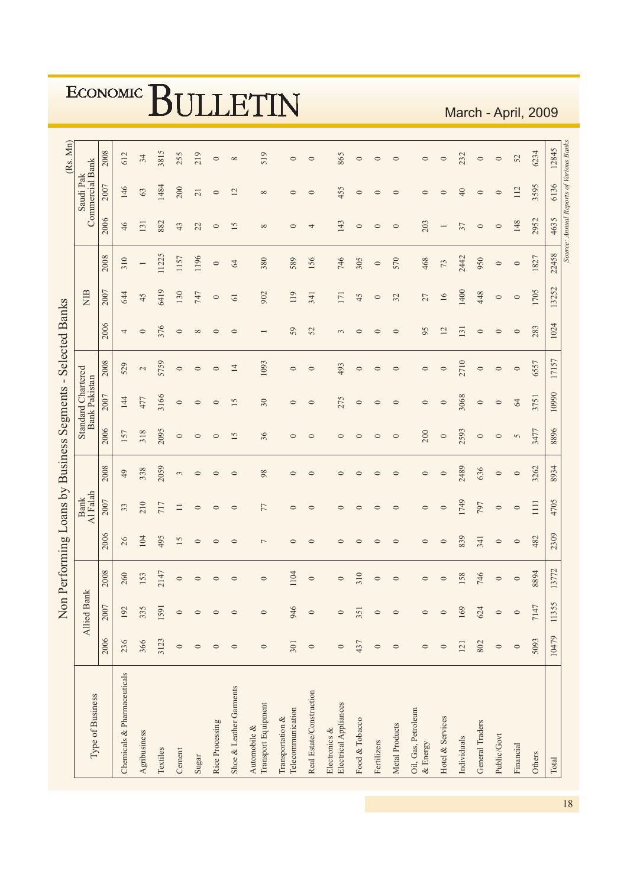|                                                       |                                            |      |                             |                |          |                |                 |                 |                         |                                     |                                       |                          |                                        |                |             |                |                                 |                  | <u>IVIUI VII</u> |                 |             |               | $'$ $\uparrow$ $\uparrow$ $\uparrow$ $\uparrow$ $\uparrow$ $\uparrow$ $\uparrow$ |       |                                         |
|-------------------------------------------------------|--------------------------------------------|------|-----------------------------|----------------|----------|----------------|-----------------|-----------------|-------------------------|-------------------------------------|---------------------------------------|--------------------------|----------------------------------------|----------------|-------------|----------------|---------------------------------|------------------|------------------|-----------------|-------------|---------------|----------------------------------------------------------------------------------|-------|-----------------------------------------|
| (Rs. Mn)                                              |                                            | 2008 | 612                         | 34             | 3815     | 255            | 219             | $\circ$         | $\infty$                | 519                                 | $\circ$                               | $\circ$                  | 865                                    | $\circ$        | $\circ$     | $\circ$        | $\circ$                         | $\circ$          | 232              | $\circ$         | $\circ$     | 52            | 6234                                                                             | 12845 |                                         |
|                                                       | Commercial Bank<br>Saudi Pak               | 2007 | 146                         | 63             | 1484     | 200            | $\overline{21}$ | $\circ$         | 12                      | ${}^{\circ}$                        | $\circ$                               | $\circ$                  | 455                                    | $\circ$        | $\circ$     | $\circ$        | $\circ$                         | $\circ$          | $\frac{1}{4}$    | $\circ$         | $\circ$     | 112           | 3595                                                                             | 6136  |                                         |
|                                                       |                                            | 2006 | 46                          | 131            | 882      | 43             | 22              | $\circ$         | 15                      | $\infty$                            | $\circ$                               | 4                        | 143                                    | $\circ$        | $\circ$     | $\circ$        | 203                             | $\overline{ }$   | 37               | $\circ$         | $\circ$     | 148           | 2952                                                                             | 4635  | Source: Annual Reports of Various Banks |
|                                                       |                                            | 2008 | 310                         | $\overline{ }$ | 11225    | 1157           | 1196            | $\circ$         | 64                      | 380                                 | 589                                   | 156                      | 746                                    | 305            | $\circ$     | 570            | 468                             | 73               | 2442             | 950             | $\circ$     | $\circ$       | 1827                                                                             | 22458 |                                         |
|                                                       | <b>RIN</b>                                 | 2007 | 644                         | 45             | 6419     | 130            | 747             | $\circ$         | 61                      | 902                                 | 119                                   | 341                      | 171                                    | 45             | $\circ$     | 32             | 27                              | 16               | 1400             | 448             | $\circ$     | $\circ$       | 1705                                                                             | 13252 |                                         |
|                                                       |                                            | 2006 | 4                           | $\circ$        | 376      | $\circ$        | $\infty$        | $\circ$         | $\circ$                 |                                     | 59                                    | 52                       | $\sim$                                 | $\circ$        | $\circ$     | $\circ$        | 95                              | 12               | 131              | $\circ$         | $\circ$     | $\circ$       | 283                                                                              | 1024  |                                         |
| erforming Loans by Business Segments - Selected Banks |                                            | 2008 | 529                         | 2              | 5759     | $\circ$        | $\circ$         | $\circ$         | $\overline{14}$         | 1093                                | $\circ$                               | $\circ$                  | 493                                    | $\circ$        | $\circ$     | $\circ$        | $\circ$                         | $\circ$          | 2710             | $\circ$         | $\circ$     | $\circ$       | 6557                                                                             | 17157 |                                         |
|                                                       | Standard Chartered<br><b>Bank Pakistan</b> | 2007 | 144                         | 477            | 3166     | $\circ$        | $\circ$         | $\circ$         | 15                      | $30\,$                              | $\circ$                               | $\circ$                  | 275                                    | $\circ$        | $\circ$     | $\circ$        | $\circ$                         | $\circ$          | 3068             | $\circ$         | $\circ$     | $\mathcal{R}$ | 3751                                                                             | 10990 |                                         |
|                                                       |                                            | 2006 | 157                         | 318            | 2095     | $\circ$        | $\circ$         | $\circ$         | 15                      | 36                                  | $\circ$                               | $\circ$                  | $\circ$                                | $\circ$        | $\circ$     | $\circ$        | 200                             | $\circ$          | 2593             | $\circ$         | $\circ$     | 5             | 3477                                                                             | 8896  |                                         |
|                                                       |                                            | 2008 | 49                          | 338            | 2059     | $\mathfrak{c}$ | $\circ$         | $\circ$         | $\circ$                 | 98                                  | $\circ$                               | $\circ$                  | $\circ$                                | $\circ$        | $\circ$     | $\circ$        | $\circ$                         | $\circ$          | 2489             | 636             | $\circ$     | $\circ$       | 3262                                                                             | 8934  |                                         |
|                                                       | Al Falah<br><b>Bank</b>                    | 2007 | 33                          | 210            | 717      | $\Box$         | $\circ$         | $\circ$         | $\circ$                 | 77                                  | $\circ$                               | $\circ$                  | $\circ$                                | $\circ$        | $\circ$     | $\circ$        | $\circ$                         | $\circ$          | 1749             | 797             | $\circ$     | $\circ$       | 1111                                                                             | 4705  |                                         |
|                                                       |                                            | 2006 | 26                          | 104            | 495      | 15             | $\circ$         | $\circ$         | $\circ$                 | $\overline{ }$                      | $\circ$                               | $\circ$                  | $\circ$                                | $\circ$        | $\circ$     | $\circ$        | $\circ$                         | $\circ$          | 839              | 341             | $\circ$     | $\circ$       | 482                                                                              | 2309  |                                         |
|                                                       |                                            | 2008 | 260                         | 153            | 2147     | $\circ$        | $\circ$         | ⊂               | $\circ$                 | $\circ$                             | 1104                                  | $\circ$                  | $\circ$                                | 310            | $\circ$     | $\circ$        | $\circ$                         | $\circ$          | 158              | 746             | $\circ$     | $\circ$       | 8894                                                                             | 13772 |                                         |
| Non P                                                 | <b>Allied Bank</b>                         | 2007 | 192                         | 335            | 1591     | $\circ$        | $\circ$         | $\circ$         | $\circ$                 | $\circ$                             | 946                                   | $\circ$                  | $\circ$                                | 351            | $\circ$     | $\circ$        | $\circ$                         | $\circ$          | 169              | 624             | $\circ$     | $\circ$       | 7147                                                                             | 11355 |                                         |
|                                                       |                                            | 2006 | 236                         | 366            | 3123     | $\circ$        | $\circ$         | $\circ$         | $\circ$                 | $\circ$                             | 301                                   | $\circ$                  | $\circ$                                | 437            | $\circ$     | $\circ$        | $\circ$                         | $\circ$          | 121              | 802             | $\circ$     | $\circ$       | 5093                                                                             | 10479 |                                         |
|                                                       | Type of Business                           |      | Chemicals & Pharmaceuticals | Agribusiness   | Textiles | Cement         | Sugar           | Rice Processing | Shoe & Leather Garments | Transport Equipment<br>Automobile & | Telecommunication<br>Transportation & | Real Estate/Construction | Electrical Appliances<br>Electronics & | Food & Tobacco | Fertilizers | Metal Products | Oil, Gas, Petroleum<br>& Energy | Hotel & Services | Individuals      | General Traders | Public/Govt | Financial     | Others                                                                           | Total |                                         |

March - April 2009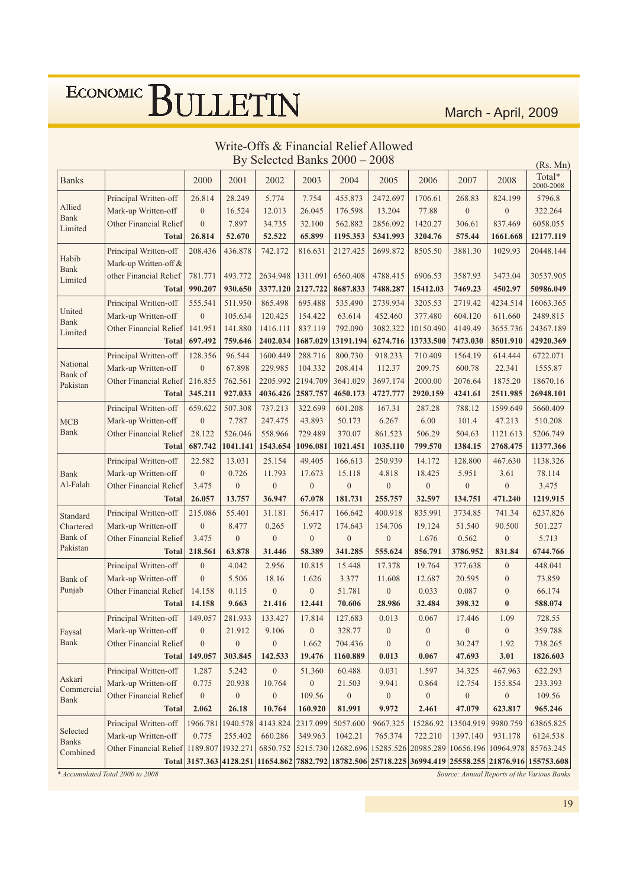March - April, 2009

|                          |                                          |                  |                  |                  |                  | By Selected Banks $2000 - 2008$ |                  |                                        |                  |                     | (Rs. Mn)                                                                                                |
|--------------------------|------------------------------------------|------------------|------------------|------------------|------------------|---------------------------------|------------------|----------------------------------------|------------------|---------------------|---------------------------------------------------------------------------------------------------------|
| <b>Banks</b>             |                                          | 2000             | 2001             | 2002             | 2003             | 2004                            | 2005             | 2006                                   | 2007             | 2008                | Total*<br>2000-2008                                                                                     |
|                          | Principal Written-off                    | 26.814           | 28.249           | 5.774            | 7.754            | 455.873                         | 2472.697         | 1706.61                                | 268.83           | 824.199             | 5796.8                                                                                                  |
| Allied<br><b>Bank</b>    | Mark-up Written-off                      | $\boldsymbol{0}$ | 16.524           | 12.013           | 26.045           | 176.598                         | 13.204           | 77.88                                  | $\boldsymbol{0}$ | $\boldsymbol{0}$    | 322.264                                                                                                 |
| Limited                  | Other Financial Relief                   | $\overline{0}$   | 7.897            | 34.735           | 32.100           | 562.882                         | 2856.092         | 1420.27                                | 306.61           | 837.469             | 6058.055                                                                                                |
|                          | <b>Total</b>                             | 26.814           | 52.670           | 52.522           | 65.899           | 1195.353                        | 5341.993         | 3204.76                                | 575.44           | 1661.668            | 12177.119                                                                                               |
|                          | Principal Written-off                    | 208.436          | 436.878          | 742.172          | 816.631          | 2127.425                        | 2699.872         | 8505.50                                | 3881.30          | 1029.93             | 20448.144                                                                                               |
| Habib<br><b>Bank</b>     | Mark-up Written-off &                    |                  |                  |                  |                  |                                 |                  |                                        |                  |                     |                                                                                                         |
| Limited                  | other Financial Relief                   | 781.771          | 493.772          | 2634.948         | 1311.091         | 6560.408                        | 4788.415         | 6906.53                                | 3587.93          | 3473.04             | 30537.905                                                                                               |
|                          | <b>Total</b>                             | 990.207          | 930.650          | 3377.120         | 2127.722         | 8687.833                        | 7488.287         | 15412.03                               | 7469.23          | 4502.97             | 50986.049                                                                                               |
|                          | Principal Written-off                    | 555.541          | 511.950          | 865.498          | 695.488          | 535.490                         | 2739.934         | 3205.53                                | 2719.42          | 4234.514            | 16063.365                                                                                               |
| United<br>Bank           | Mark-up Written-off                      | $\boldsymbol{0}$ | 105.634          | 120.425          | 154.422          | 63.614                          | 452.460          | 377.480                                | 604.120          | 611.660             | 2489.815                                                                                                |
| Limited                  | Other Financial Relief                   | 141.951          | 141.880          | 1416.111         | 837.119          | 792.090                         | 3082.322         | 10150.490                              | 4149.49          | 3655.736            | 24367.189                                                                                               |
|                          | <b>Total</b>                             | 697.492          | 759.646          | 2402.034         | 1687.029         | 13191.194                       | 6274.716         | 13733.500                              | 7473.030         | 8501.910            | 42920.369                                                                                               |
|                          | Principal Written-off                    | 128.356          | 96.544           | 1600.449         | 288.716          | 800.730                         | 918.233          | 710.409                                | 1564.19          | 614.444             | 6722.071                                                                                                |
| National<br>Bank of      | Mark-up Written-off                      | $\boldsymbol{0}$ | 67.898           | 229.985          | 104.332          | 208.414                         | 112.37           | 209.75                                 | 600.78           | 22.341              | 1555.87                                                                                                 |
| Pakistan                 | <b>Other Financial Relief</b>            | 216.855          | 762.561          | 2205.992         | 2194.709         | 3641.029                        | 3697.174         | 2000.00                                | 2076.64          | 1875.20             | 18670.16                                                                                                |
|                          | <b>Total</b>                             | 345.211          | 927.033          | 4036.426         | 2587.757         | 4650.173                        | 4727.777         | 2920.159                               | 4241.61          | 2511.985            | 26948.101                                                                                               |
|                          | Principal Written-off                    | 659.622          | 507.308          | 737.213          | 322.699          | 601.208                         | 167.31           | 287.28                                 | 788.12           | 1599.649            | 5660.409                                                                                                |
| <b>MCB</b>               | Mark-up Written-off                      | $\boldsymbol{0}$ | 7.787            | 247.475          | 43.893           | 50.173                          | 6.267            | 6.00                                   | 101.4            | 47.213              | 510.208                                                                                                 |
| <b>Bank</b>              | Other Financial Relief                   | 28.122           | 526.046          | 558.966          | 729.489          | 370.07                          | 861.523          | 506.29                                 | 504.63           | 1121.613            | 5206.749                                                                                                |
|                          | <b>Total</b>                             | 687.742          | 1041.141         | 1543.654         | 1096.081         | 1021.451                        | 1035.110         | 799.570                                | 1384.15          | 2768.475            | 11377.366                                                                                               |
|                          | Principal Written-off                    | 22.582           | 13.031           | 25.154           | 49.405           | 166.613                         | 250.939          | 14.172                                 | 128.800          | 467.630             | 1138.326                                                                                                |
| <b>Bank</b>              | Mark-up Written-off                      | $\boldsymbol{0}$ | 0.726            | 11.793           | 17.673           | 15.118                          | 4.818            | 18.425                                 | 5.951            | 3.61                | 78.114                                                                                                  |
| Al-Falah                 | Other Financial Relief                   | 3.475            | $\boldsymbol{0}$ | $\overline{0}$   | $\boldsymbol{0}$ | $\mathbf{0}$                    | $\mathbf{0}$     | $\mathbf{0}$                           | $\overline{0}$   | $\mathbf{0}$        | 3.475                                                                                                   |
|                          | <b>Total</b>                             | 26.057           | 13.757           | 36.947           | 67.078           | 181.731                         | 255.757          | 32.597                                 | 134.751          | 471.240             | 1219.915                                                                                                |
| Standard                 | Principal Written-off                    | 215.086          | 55.401           | 31.181           | 56.417           | 166.642                         | 400.918          | 835.991                                | 3734.85          | 741.34              | 6237.826                                                                                                |
| Chartered                | Mark-up Written-off                      | $\boldsymbol{0}$ | 8.477            | 0.265            | 1.972            | 174.643                         | 154.706          | 19.124                                 | 51.540           | 90.500              | 501.227                                                                                                 |
| Bank of                  | <b>Other Financial Relief</b>            | 3.475            | $\boldsymbol{0}$ | $\overline{0}$   | $\mathbf{0}$     | $\mathbf{0}$                    | $\mathbf{0}$     | 1.676                                  | 0.562            | $\boldsymbol{0}$    | 5.713                                                                                                   |
| Pakistan                 | <b>Total</b>                             | 218.561          | 63.878           | 31.446           | 58.389           | 341.285                         | 555.624          | 856.791                                | 3786.952         | 831.84              | 6744.766                                                                                                |
|                          | Principal Written-off                    | $\boldsymbol{0}$ | 4.042            | 2.956            | 10.815           | 15.448                          | 17.378           | 19.764                                 | 377.638          | $\boldsymbol{0}$    | 448.041                                                                                                 |
| Bank of                  | Mark-up Written-off                      | $\overline{0}$   | 5.506            | 18.16            | 1.626            | 3.377                           | 11.608           | 12.687                                 | 20.595           | $\boldsymbol{0}$    | 73.859                                                                                                  |
| Punjab                   | Other Financial Relief                   | 14.158           | 0.115            | $\boldsymbol{0}$ | $\boldsymbol{0}$ | 51.781                          | $\boldsymbol{0}$ | 0.033                                  | 0.087            | $\mathbf{0}$        | 66.174                                                                                                  |
|                          | <b>Total</b>                             | 14.158           | 9.663            | 21.416           | 12.441           | 70.606                          | 28.986           | 32.484                                 | 398.32           | $\bf{0}$            | 588.074                                                                                                 |
|                          | Principal Written-off                    | 149.057          | 281.933          | 133.427          | 17.814           | 127.683                         | 0.013            | 0.067                                  | 17.446           | 1.09                | 728.55                                                                                                  |
| Faysal                   | Mark-up Written-off                      | $\boldsymbol{0}$ | 21.912           | 9.106            | $\boldsymbol{0}$ | 328.77                          | $\boldsymbol{0}$ | $\boldsymbol{0}$                       | $\boldsymbol{0}$ | $\boldsymbol{0}$    | 359.788                                                                                                 |
| Bank                     | <b>Other Financial Relief</b>            | $\boldsymbol{0}$ | $\boldsymbol{0}$ | $\boldsymbol{0}$ | 1.662            | 704.436                         | $\boldsymbol{0}$ | $\boldsymbol{0}$                       | 30.247           | 1.92                | 738.265                                                                                                 |
|                          | <b>Total</b>                             | 149.057          | 303.845          | 142.533          | 19.476           | 1160.889                        | 0.013            | 0.067                                  | 47.693           | 3.01                | 1826.603                                                                                                |
|                          | Principal Written-off                    | 1.287            | 5.242            | $\overline{0}$   | 51.360           | 60.488                          | 0.031            | 1.597                                  | 34.325           | 467.963             | 622.293                                                                                                 |
| Askari<br>Commercial     | Mark-up Written-off                      | 0.775            | 20.938           | 10.764           | $\boldsymbol{0}$ | 21.503                          | 9.941            | 0.864                                  | 12.754           | 155.854             | 233.393                                                                                                 |
| <b>Bank</b>              | Other Financial Relief                   | $\boldsymbol{0}$ | $\boldsymbol{0}$ | $\boldsymbol{0}$ | 109.56           | $\boldsymbol{0}$                | $\boldsymbol{0}$ | $\boldsymbol{0}$                       | $\boldsymbol{0}$ | $\boldsymbol{0}$    | 109.56                                                                                                  |
|                          | <b>Total</b>                             | 2.062            | 26.18            | 10.764           | 160.920          | 81.991                          | 9.972            | 2.461                                  | 47.079           | 623.817             | 965.246                                                                                                 |
|                          | Principal Written-off                    | 1966.781         | 1940.578         | 4143.824         | 2317.099         | 5057.600                        | 9667.325         | 15286.92                               | 13504.919        | 9980.759            | 63865.825                                                                                               |
| Selected<br><b>Banks</b> | Mark-up Written-off                      | 0.775            | 255.402          | 660.286          | 349.963          | 1042.21                         | 765.374          | 722.210                                | 1397.140         | 931.178             | 6124.538                                                                                                |
| Combined                 | Other Financial Relief 1189.807 1932.271 |                  |                  | 6850.752         |                  |                                 |                  | 5215.730 12682.696 15285.526 20985.289 |                  | 10656.196 10964.978 | 85763.245                                                                                               |
|                          |                                          |                  |                  |                  |                  |                                 |                  |                                        |                  |                     | Total 3157.363 4128.251 11654.862 7882.792 18782.506 25718.225 36994.419 25558.255 21876.916 155753.608 |

### Write-Offs & Financial Relief Allowed

\* Accumulated Total 2000 to 2008

Source: Annual Reports of the Various Banks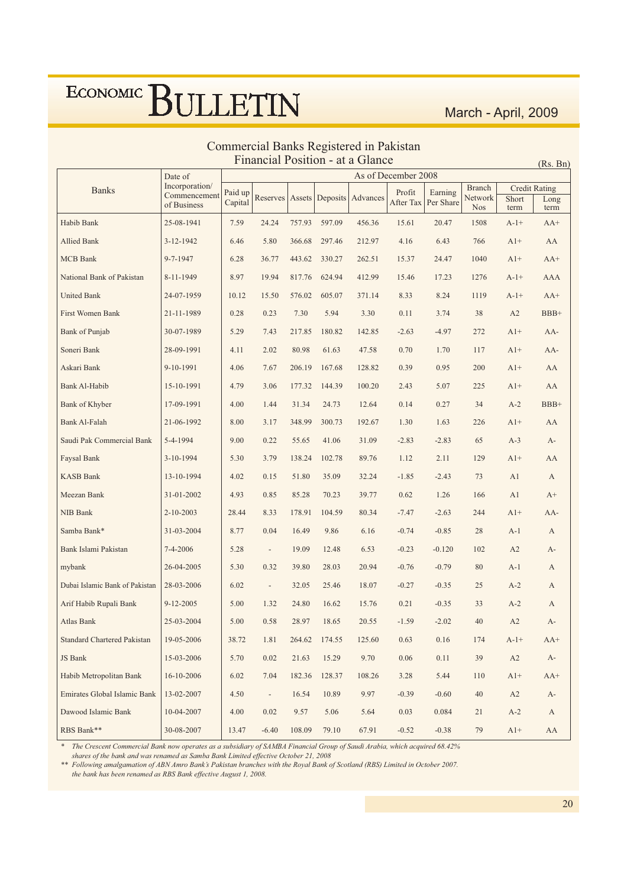### Commercial Banks Registered in Pakistan<br>Financial Position - at a Glance

 $(Rs, Bn)$ 

|                                | Date of                        |         |                          |        |               |                              | As of December 2008 |           |                   |                               |            |
|--------------------------------|--------------------------------|---------|--------------------------|--------|---------------|------------------------------|---------------------|-----------|-------------------|-------------------------------|------------|
| <b>Banks</b>                   | Incorporation/<br>Commencement | Paid up | Reserves                 |        |               | Assets   Deposits   Advances | Profit              | Earning   | Branch<br>Network | <b>Credit Rating</b><br>Short | Long       |
|                                | of Business                    | Capital |                          |        |               |                              | After Tax           | Per Share | <b>Nos</b>        | term                          | term       |
| Habib Bank                     | 25-08-1941                     | 7.59    | 24.24                    | 757.93 | 597.09        | 456.36                       | 15.61               | 20.47     | 1508              | $A-1+$                        | $AA+$      |
| Allied Bank                    | 3-12-1942                      | 6.46    | 5.80                     | 366.68 | 297.46        | 212.97                       | 4.16                | 6.43      | 766               | $A1+$                         | AA         |
| <b>MCB</b> Bank                | 9-7-1947                       | 6.28    | 36.77                    | 443.62 | 330.27        | 262.51                       | 15.37               | 24.47     | 1040              | $A1+$                         | $AA+$      |
| National Bank of Pakistan      | 8-11-1949                      | 8.97    | 19.94                    | 817.76 | 624.94        | 412.99                       | 15.46               | 17.23     | 1276              | $A-1+$                        | AAA        |
| <b>United Bank</b>             | 24-07-1959                     | 10.12   | 15.50                    | 576.02 | 605.07        | 371.14                       | 8.33                | 8.24      | 1119              | $A-1+$                        | $AA+$      |
| <b>First Women Bank</b>        | 21-11-1989                     | 0.28    | 0.23                     | 7.30   | 5.94          | 3.30                         | 0.11                | 3.74      | 38                | A2                            | $BBB+$     |
| <b>Bank</b> of Punjab          | 30-07-1989                     | 5.29    | 7.43                     | 217.85 | 180.82        | 142.85                       | $-2.63$             | $-4.97$   | 272               | $A1+$                         | $AA-$      |
| Soneri Bank                    | 28-09-1991                     | 4.11    | 2.02                     | 80.98  | 61.63         | 47.58                        | 0.70                | 1.70      | 117               | $A1+$                         | $AA-$      |
| Askari Bank                    | 9-10-1991                      | 4.06    | 7.67                     | 206.19 | 167.68        | 128.82                       | 0.39                | 0.95      | 200               | $A1+$                         | AA         |
| Bank Al-Habib                  | 15-10-1991                     | 4.79    | 3.06                     | 177.32 | 144.39        | 100.20                       | 2.43                | 5.07      | 225               | $A1+$                         | AA         |
| Bank of Khyber                 | 17-09-1991                     | 4.00    | 1.44                     | 31.34  | 24.73         | 12.64                        | 0.14                | 0.27      | 34                | $A-2$                         | $BBB+$     |
| Bank Al-Falah                  | 21-06-1992                     | 8.00    | 3.17                     | 348.99 | 300.73        | 192.67                       | 1.30                | 1.63      | 226               | $A1+$                         | AA         |
| Saudi Pak Commercial Bank      | 5-4-1994                       | 9.00    | 0.22                     | 55.65  | 41.06         | 31.09                        | $-2.83$             | $-2.83$   | 65                | $A-3$                         | А-         |
| Faysal Bank                    | $3-10-1994$                    | 5.30    | 3.79                     | 138.24 | 102.78        | 89.76                        | 1.12                | 2.11      | 129               | $A1+$                         | AA         |
| <b>KASB Bank</b>               | 13-10-1994                     | 4.02    | 0.15                     | 51.80  | 35.09         | 32.24                        | $-1.85$             | $-2.43$   | 73                | A <sub>1</sub>                | A          |
| Meezan Bank                    | 31-01-2002                     | 4.93    | 0.85                     | 85.28  | 70.23         | 39.77                        | 0.62                | 1.26      | 166               | A1                            | $A+$       |
| NIB Bank                       | 2-10-2003                      | 28.44   | 8.33                     | 178.91 | 104.59        | 80.34                        | $-7.47$             | $-2.63$   | 244               | $A1+$                         | $AA-$      |
| Samba Bank*                    | 31-03-2004                     | 8.77    | 0.04                     | 16.49  | 9.86          | 6.16                         | $-0.74$             | $-0.85$   | 28                | $A-1$                         | А          |
| Bank Islami Pakistan           | 7-4-2006                       | 5.28    | $\overline{\phantom{a}}$ | 19.09  | 12.48         | 6.53                         | $-0.23$             | $-0.120$  | 102               | A2                            | А-         |
| mybank                         | 26-04-2005                     | 5.30    | 0.32                     | 39.80  | 28.03         | 20.94                        | $-0.76$             | $-0.79$   | 80                | $A-1$                         | А          |
| Dubai Islamic Bank of Pakistan | 28-03-2006                     | 6.02    | $\frac{1}{2}$            | 32.05  | 25.46         | 18.07                        | $-0.27$             | $-0.35$   | 25                | $A-2$                         | А          |
| Arif Habib Rupali Bank         | 9-12-2005                      | 5.00    | 1.32                     | 24.80  | 16.62         | 15.76                        | 0.21                | $-0.35$   | 33                | $A-2$                         | A          |
| <b>Atlas Bank</b>              | 25-03-2004                     | 5.00    | 0.58                     | 28.97  | 18.65         | 20.55                        | $-1.59$             | $-2.02$   | 40                | A2                            | A-         |
| Standard Chartered Pakistan    | 19-05-2006                     | 38.72   | 1.81                     |        | 264.62 174.55 | 125.60                       | 0.63                | 0.16      | 174               | $A-1+$                        | $AA+$      |
| JS Bank                        | 15-03-2006                     | 5.70    | 0.02                     | 21.63  | 15.29         | 9.70                         | 0.06                | 0.11      | 39                | A2                            | $A-$       |
| Habib Metropolitan Bank        | 16-10-2006                     | 6.02    | 7.04                     | 182.36 | 128.37        | 108.26                       | 3.28                | 5.44      | 110               | $A1+$                         | $AA+$      |
| Emirates Global Islamic Bank   | 13-02-2007                     | 4.50    | $\blacksquare$           | 16.54  | 10.89         | 9.97                         | $-0.39$             | $-0.60$   | 40                | A2                            | A-         |
| Dawood Islamic Bank            | 10-04-2007                     | 4.00    | 0.02                     | 9.57   | 5.06          | 5.64                         | 0.03                | 0.084     | 21                | $A-2$                         | A          |
| RBS Bank**                     | 30-08-2007                     | 13.47   | $-6.40$                  | 108.09 | 79.10         | 67.91                        | $-0.52$             | $-0.38$   | 79                | $A1+$                         | ${\rm AA}$ |

The Crescent Commercial Bank now operates as a subsidiary of SAMBA Financial Group of Saudi Arabia, which acquired 68.42%<br>shares of the bank and was renamed as Samba Bank Limited effective October 21, 2008

\*\* Following amalgamation of ABN Amro Bank's Pakistan branches with the Royal Bank of Scotland (RBS) Limited in October 2007.

the bank has been renamed as RBS Bank effective August 1, 2008.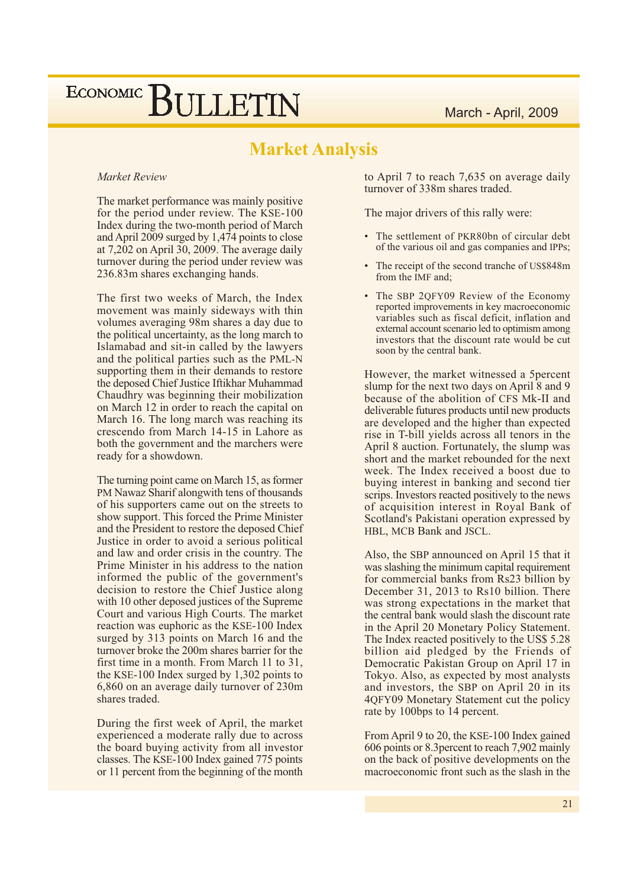### **Market Analysis**

#### Market Review

The market performance was mainly positive for the period under review. The KSE-100 Index during the two-month period of March and April 2009 surged by  $1,474$  points to close at 7,202 on April 30, 2009. The average daily turnover during the period under review was 236.83m shares exchanging hands.

The first two weeks of March, the Index movement was mainly sideways with thin volumes averaging 98m shares a day due to the political uncertainty, as the long march to Islamabad and sit-in called by the lawyers and the political parties such as the PML-N supporting them in their demands to restore the deposed Chief Justice Iftikhar Muhammad Chaudhry was beginning their mobilization on March 12 in order to reach the capital on March 16. The long march was reaching its crescendo from March 14-15 in Lahore as both the government and the marchers were ready for a showdown.

The turning point came on March 15, as former PM Nawaz Sharif alongwith tens of thousands of his supporters came out on the streets to show support. This forced the Prime Minister and the President to restore the deposed Chief Justice in order to avoid a serious political and law and order crisis in the country. The Prime Minister in his address to the nation informed the public of the government's decision to restore the Chief Justice along with 10 other deposed justices of the Supreme Court and various High Courts. The market reaction was euphoric as the KSE-100 Index surged by 313 points on March 16 and the turnover broke the 200m shares barrier for the first time in a month. From March 11 to 31. the KSE-100 Index surged by  $1,302$  points to 6,860 on an average daily turnover of 230m shares traded.

During the first week of April, the market experienced a moderate rally due to across the board buying activity from all investor classes. The KSE-100 Index gained 775 points or 11 percent from the beginning of the month

to April 7 to reach 7,635 on average daily turnover of 338m shares traded.

The major drivers of this rally were:

- The settlement of PKR80bn of circular debt of the various oil and gas companies and IPPs;
- The receipt of the second tranche of US\$848m from the IMF and;
- The SBP 2QFY09 Review of the Economy reported improvements in key macroeconomic variables such as fiscal deficit, inflation and external account scenario led to optimism among investors that the discount rate would be cut soon by the central bank.

However, the market witnessed a 5percent slump for the next two days on April 8 and 9 because of the abolition of CFS Mk-II and deliverable futures products until new products are developed and the higher than expected rise in T-bill yields across all tenors in the April 8 auction. Fortunately, the slump was short and the market rebounded for the next week. The Index received a boost due to buying interest in banking and second tier scrips. Investors reacted positively to the news of acquisition interest in Royal Bank of Scotland's Pakistani operation expressed by HBL, MCB Bank and JSCL.

Also, the SBP announced on April 15 that it was slashing the minimum capital requirement for commercial banks from Rs23 billion by December 31, 2013 to Rs10 billion. There was strong expectations in the market that the central bank would slash the discount rate in the April 20 Monetary Policy Statement. The Index reacted positively to the US\$ 5.28 billion aid pledged by the Friends of Democratic Pakistan Group on April 17 in Tokyo. Also, as expected by most analysts and investors, the SBP on April 20 in its 4QFY09 Monetary Statement cut the policy rate by 100bps to 14 percent.

From April 9 to 20, the KSE-100 Index gained 606 points or 8.3 percent to reach 7,902 mainly on the back of positive developments on the macroeconomic front such as the slash in the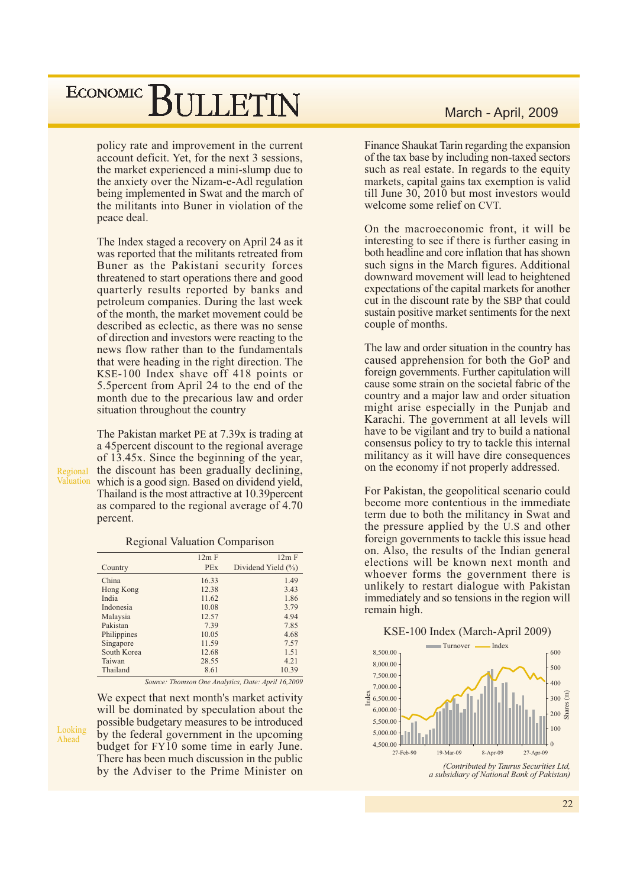policy rate and improvement in the current account deficit. Yet, for the next 3 sessions, the market experienced a mini-slump due to the anxiety over the Nizam-e-Adl regulation being implemented in Swat and the march of the militants into Buner in violation of the peace deal.

The Index staged a recovery on April 24 as it was reported that the militants retreated from Buner as the Pakistani security forces threatened to start operations there and good quarterly results reported by banks and petroleum companies. During the last week of the month, the market movement could be described as eclectic, as there was no sense of direction and investors were reacting to the news flow rather than to the fundamentals that were heading in the right direction. The KSE-100 Index shave off 418 points or 5.5 percent from April 24 to the end of the month due to the precarious law and order situation throughout the country

The Pakistan market PE at 7.39x is trading at a 45 percent discount to the regional average of  $13.45x$ . Since the beginning of the year, the discount has been gradually declining, Valuation which is a good sign. Based on dividend yield, Thailand is the most attractive at 10.39 percent as compared to the regional average of 4.70 percent.

Regional

|             | Regional valuation Comparison |                    |
|-------------|-------------------------------|--------------------|
|             | 12m F                         | 12m F              |
| Country     | <b>PEx</b>                    | Dividend Yield (%) |
| China       | 16.33                         | 1.49               |
| Hong Kong   | 12.38                         | 3.43               |
| India       | 11.62                         | 1.86               |
| Indonesia   | 10.08                         | 3.79               |
| Malaysia    | 12.57                         | 4.94               |
| Pakistan    | 7.39                          | 7.85               |
| Philippines | 10.05                         | 4.68               |
| Singapore   | 11.59                         | 7.57               |
| South Korea | 12.68                         | 1.51               |
| Taiwan      | 28.55                         | 4.21               |
| Thailand    | 8.61                          | 10.39              |

 $\mathbf{D}_{\text{ref}}$  :  $\mathbf{D}_{\text{ref}}$  :  $\mathbf{D}_{\text{ref}}$  :  $\mathbf{D}_{\text{ref}}$  :  $\mathbf{D}_{\text{ref}}$  :  $\mathbf{D}_{\text{ref}}$  :  $\mathbf{D}_{\text{ref}}$  :  $\mathbf{D}_{\text{ref}}$  :  $\mathbf{D}_{\text{ref}}$  :  $\mathbf{D}_{\text{ref}}$  :  $\mathbf{D}_{\text{ref}}$  :  $\mathbf{D}_{\text{ref}}$  :  $\mathbf{D}_{\text{ref}}$  :  $\mathbf{D}_{\text{ref}}$ 

Source: Thomson One Analytics, Date: April 16,2009

Looking Ahead

will be dominated by speculation about the possible budgetary measures to be introduced by the federal government in the upcoming budget for FY10 some time in early June. There has been much discussion in the public by the Adviser to the Prime Minister on

We expect that next month's market activity

Finance Shaukat Tarin regarding the expansion of the tax base by including non-taxed sectors such as real estate. In regards to the equity markets, capital gains tax exemption is valid till June 30, 2010 but most investors would welcome some relief on CVT.

On the macroeconomic front, it will be interesting to see if there is further easing in both headline and core inflation that has shown such signs in the March figures. Additional downward movement will lead to heightened expectations of the capital markets for another cut in the discount rate by the SBP that could sustain positive market sentiments for the next couple of months.

The law and order situation in the country has caused apprehension for both the GoP and foreign governments. Further capitulation will cause some strain on the societal fabric of the country and a major law and order situation might arise especially in the Punjab and Karachi. The government at all levels will have to be vigilant and try to build a national consensus policy to try to tackle this internal militancy as it will have dire consequences on the economy if not properly addressed.

For Pakistan, the geopolitical scenario could become more contentious in the immediate term due to both the militancy in Swat and the pressure applied by the U.S and other foreign governments to tackle this issue head on. Also, the results of the Indian general elections will be known next month and whoever forms the government there is unlikely to restart dialogue with Pakistan immediately and so tensions in the region will remain high.

#### KSE-100 Index (March-April 2009)



22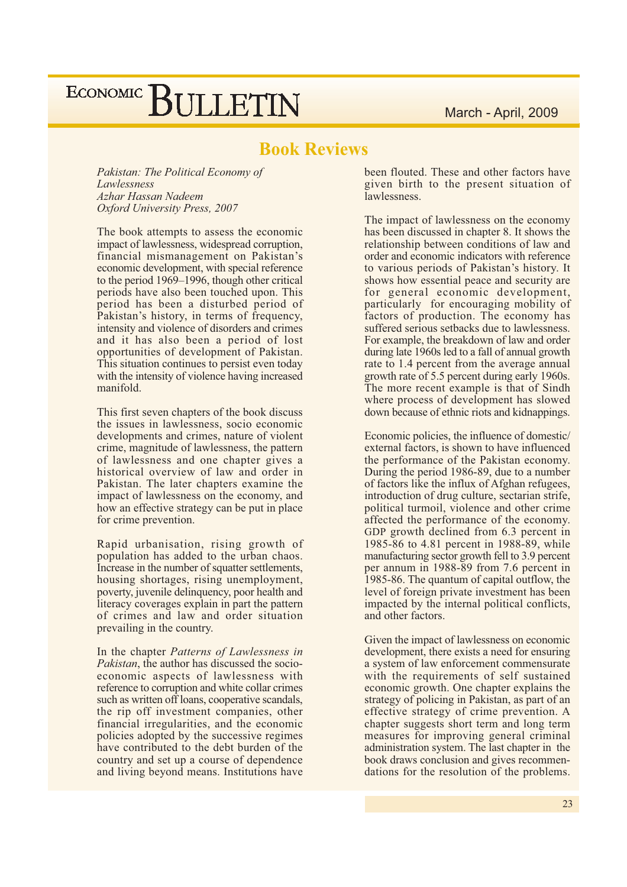### **Book Reviews**

Pakistan: The Political Economy of Lawlessness Azhar Hassan Nadeem Oxford University Press, 2007

The book attempts to assess the economic impact of lawlessness, widespread corruption, financial mismanagement on Pakistan's economic development, with special reference to the period 1969–1996, though other critical periods have also been touched upon. This period has been a disturbed period of Pakistan's history, in terms of frequency, intensity and violence of disorders and crimes and it has also been a period of lost opportunities of development of Pakistan. This situation continues to persist even today with the intensity of violence having increased manifold.

This first seven chapters of the book discuss the issues in lawlessness, socio economic developments and crimes, nature of violent crime, magnitude of lawlessness, the pattern of lawlessness and one chapter gives a historical overview of law and order in Pakistan. The later chapters examine the impact of lawlessness on the economy, and how an effective strategy can be put in place for crime prevention.

Rapid urbanisation, rising growth of population has added to the urban chaos. Increase in the number of squatter settlements, housing shortages, rising unemployment, poverty, juvenile delinquency, poor health and literacy coverages explain in part the pattern of crimes and law and order situation prevailing in the country.

In the chapter Patterns of Lawlessness in *Pakistan*, the author has discussed the socioeconomic aspects of lawlessness with reference to corruption and white collar crimes such as written off loans, cooperative scandals, the rip off investment companies, other financial irregularities, and the economic policies adopted by the successive regimes have contributed to the debt burden of the country and set up a course of dependence and living beyond means. Institutions have

been flouted. These and other factors have given birth to the present situation of lawlessness.

The impact of lawlessness on the economy has been discussed in chapter 8. It shows the relationship between conditions of law and order and economic indicators with reference to various periods of Pakistan's history. It shows how essential peace and security are for general economic development, particularly for encouraging mobility of factors of production. The economy has suffered serious setbacks due to lawlessness. For example, the breakdown of law and order during late 1960s led to a fall of annual growth rate to 1.4 percent from the average annual growth rate of 5.5 percent during early 1960s. The more recent example is that of Sindh where process of development has slowed down because of ethnic riots and kidnappings.

Economic policies, the influence of domestic/ external factors, is shown to have influenced the performance of the Pakistan economy. During the period 1986-89, due to a number of factors like the influx of Afghan refugees, introduction of drug culture, sectarian strife, political turmoil, violence and other crime affected the performance of the economy. GDP growth declined from 6.3 percent in 1985-86 to 4.81 percent in 1988-89, while manufacturing sector growth fell to 3.9 percent per annum in 1988-89 from 7.6 percent in 1985-86. The quantum of capital outflow, the level of foreign private investment has been impacted by the internal political conflicts, and other factors.

Given the impact of lawlessness on economic development, there exists a need for ensuring a system of law enforcement commensurate with the requirements of self sustained economic growth. One chapter explains the strategy of policing in Pakistan, as part of an effective strategy of crime prevention. A chapter suggests short term and long term measures for improving general criminal administration system. The last chapter in the book draws conclusion and gives recommendations for the resolution of the problems.